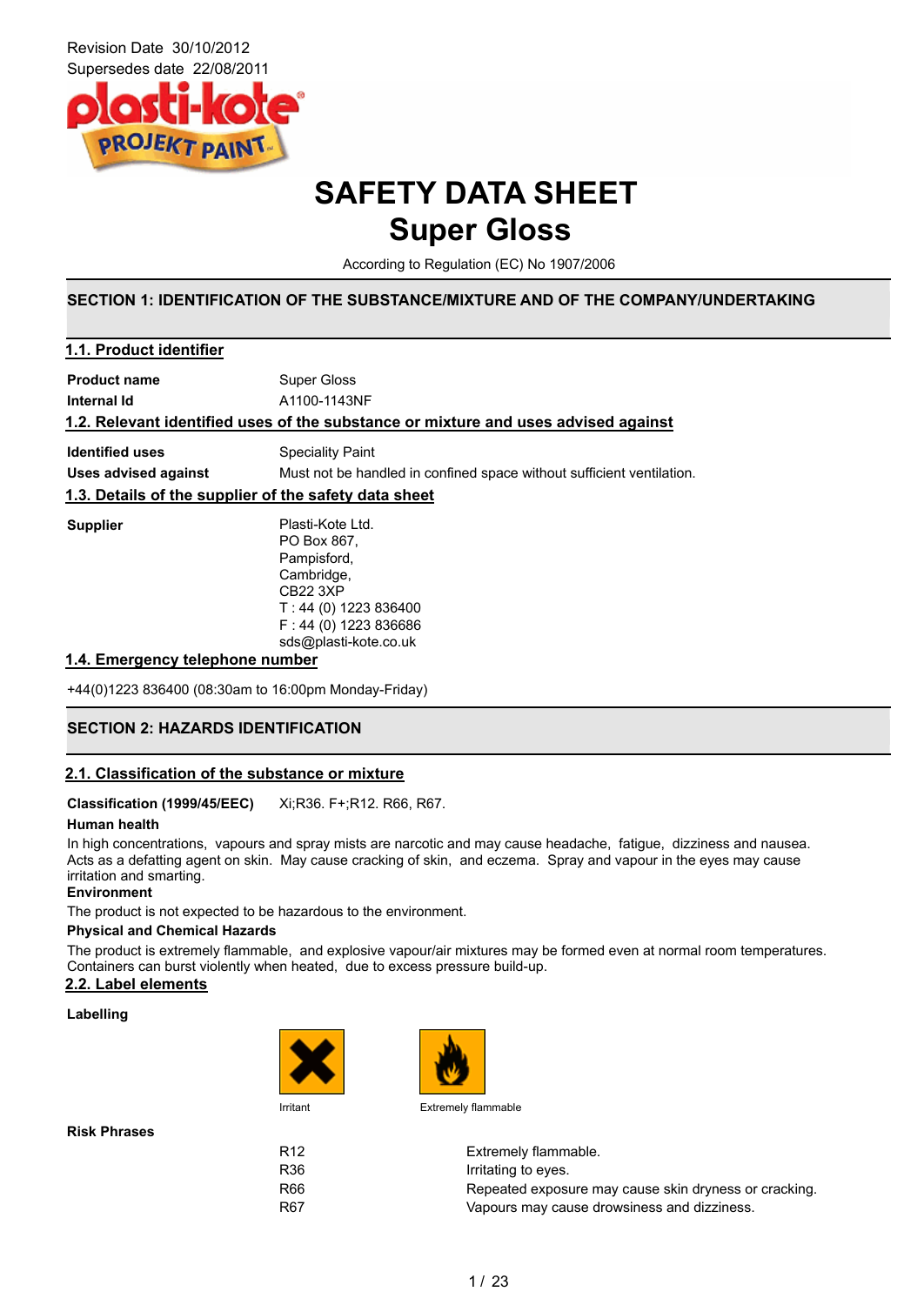

### **SAFETY DATA SHEET Super Gloss**

According to Regulation (EC) No 1907/2006

#### **SECTION 1: IDENTIFICATION OF THE SUBSTANCE/MIXTURE AND OF THE COMPANY/UNDERTAKING**

#### **1.4. Emergency telephone number**

+44(0)1223 836400 (08:30am to 16:00pm Monday-Friday)

### **SECTION 2: HAZARDS IDENTIFICATION**

#### **2.1. Classification of the substance or mixture**

#### **Classification (1999/45/EEC)** Xi;R36. F+;R12. R66, R67.

#### **Human health**

In high concentrations, vapours and spray mists are narcotic and may cause headache, fatigue, dizziness and nausea. Acts as a defatting agent on skin. May cause cracking of skin, and eczema. Spray and vapour in the eyes may cause irritation and smarting.

#### **Environment**

The product is not expected to be hazardous to the environment.

#### **Physical and Chemical Hazards**

The product is extremely flammable, and explosive vapour/air mixtures may be formed even at normal room temperatures. Containers can burst violently when heated, due to excess pressure build-up.

#### **2.2. Label elements**

#### **Labelling**





Irritant Extremely flammable

| R <sub>12</sub> | Extremely flammable.                                  |
|-----------------|-------------------------------------------------------|
| R36             | Irritating to eyes.                                   |
| R66             | Repeated exposure may cause skin dryness or cracking. |
| R <sub>67</sub> | Vapours may cause drowsiness and dizziness.           |
|                 |                                                       |

**Risk Phrases**

1 / 23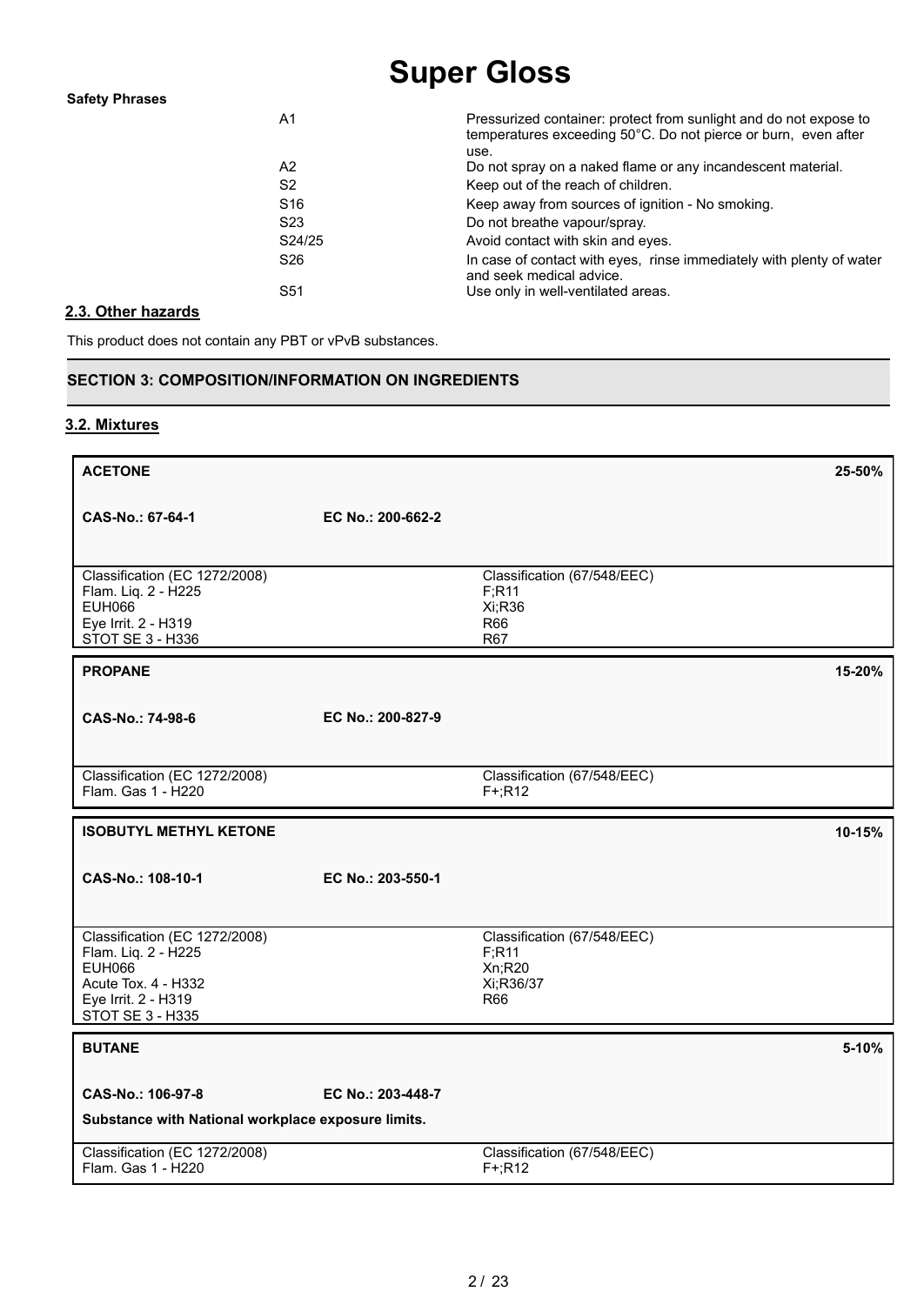| <b>Safety Phrases</b> |                 |                                                                                                                                             |
|-----------------------|-----------------|---------------------------------------------------------------------------------------------------------------------------------------------|
|                       | A1              | Pressurized container: protect from sunlight and do not expose to<br>temperatures exceeding 50°C. Do not pierce or burn, even after<br>use. |
|                       | A2              | Do not spray on a naked flame or any incandescent material.                                                                                 |
|                       | S2              | Keep out of the reach of children.                                                                                                          |
|                       | S <sub>16</sub> | Keep away from sources of ignition - No smoking.                                                                                            |
|                       | S <sub>23</sub> | Do not breathe vapour/spray.                                                                                                                |
|                       | S24/25          | Avoid contact with skin and eyes.                                                                                                           |
|                       | S <sub>26</sub> | In case of contact with eyes, rinse immediately with plenty of water<br>and seek medical advice.                                            |
|                       | S51             | Use only in well-ventilated areas.                                                                                                          |

#### **2.3. Other hazards**

This product does not contain any PBT or vPvB substances.

### **SECTION 3: COMPOSITION/INFORMATION ON INGREDIENTS**

#### **3.2. Mixtures**

| <b>ACETONE</b>                                                                                                                          |                   |                                                                                 | 25-50% |
|-----------------------------------------------------------------------------------------------------------------------------------------|-------------------|---------------------------------------------------------------------------------|--------|
| CAS-No.: 67-64-1                                                                                                                        | EC No.: 200-662-2 |                                                                                 |        |
| Classification (EC 1272/2008)<br>Flam. Liq. 2 - H225<br><b>EUH066</b><br>Eye Irrit. 2 - H319<br>STOT SE 3 - H336                        |                   | Classification (67/548/EEC)<br>F; R11<br>Xi;R36<br><b>R66</b><br><b>R67</b>     |        |
| <b>PROPANE</b>                                                                                                                          |                   |                                                                                 | 15-20% |
| CAS-No.: 74-98-6                                                                                                                        | EC No.: 200-827-9 |                                                                                 |        |
| Classification (EC 1272/2008)<br>Flam. Gas 1 - H220                                                                                     |                   | Classification (67/548/EEC)<br>$F+;R12$                                         |        |
| <b>ISOBUTYL METHYL KETONE</b>                                                                                                           |                   |                                                                                 | 10-15% |
| CAS-No.: 108-10-1                                                                                                                       | EC No.: 203-550-1 |                                                                                 |        |
| Classification (EC 1272/2008)<br>Flam. Liq. 2 - H225<br><b>EUH066</b><br>Acute Tox. 4 - H332<br>Eye Irrit. 2 - H319<br>STOT SE 3 - H335 |                   | Classification (67/548/EEC)<br>F; R11<br>Xn;R20<br>Xi;R36/37<br>R <sub>66</sub> |        |
| <b>BUTANE</b>                                                                                                                           |                   |                                                                                 | 5-10%  |
| CAS-No.: 106-97-8<br>Substance with National workplace exposure limits.                                                                 | EC No.: 203-448-7 |                                                                                 |        |
| Classification (EC 1272/2008)<br>Flam. Gas 1 - H220                                                                                     |                   | Classification (67/548/EEC)<br>$F+;R12$                                         |        |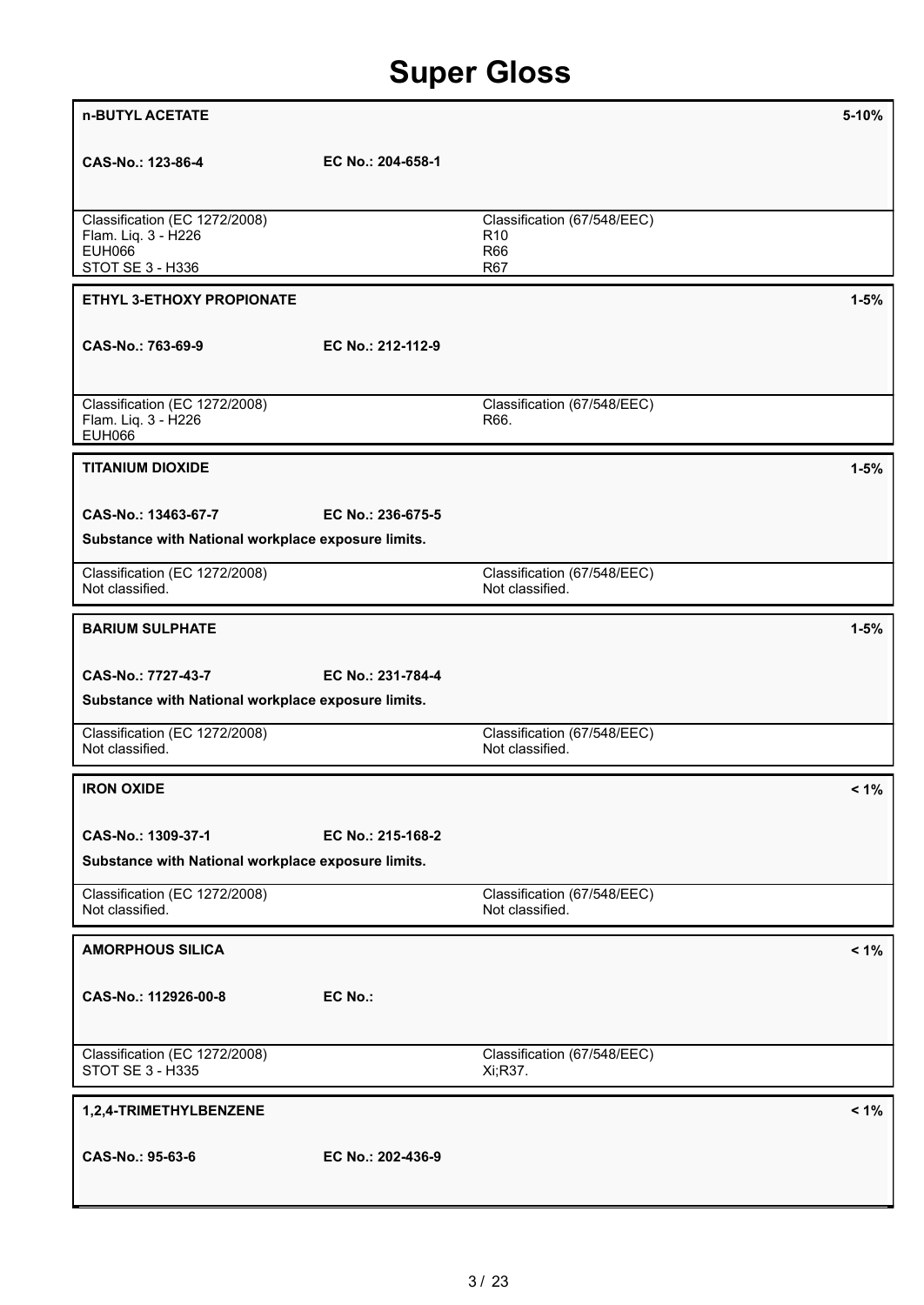| n-BUTYL ACETATE                                                                           |                   |                                                                     | $5 - 10%$ |
|-------------------------------------------------------------------------------------------|-------------------|---------------------------------------------------------------------|-----------|
| CAS-No.: 123-86-4                                                                         | EC No.: 204-658-1 |                                                                     |           |
| Classification (EC 1272/2008)<br>Flam. Liq. 3 - H226<br><b>EUH066</b><br>STOT SE 3 - H336 |                   | Classification (67/548/EEC)<br>R <sub>10</sub><br><b>R66</b><br>R67 |           |
| ETHYL 3-ETHOXY PROPIONATE                                                                 |                   |                                                                     | $1 - 5%$  |
| CAS-No.: 763-69-9                                                                         | EC No.: 212-112-9 |                                                                     |           |
| Classification (EC 1272/2008)<br>Flam. Liq. 3 - H226<br><b>EUH066</b>                     |                   | Classification (67/548/EEC)<br>R66.                                 |           |
| <b>TITANIUM DIOXIDE</b>                                                                   |                   |                                                                     | $1 - 5%$  |
| CAS-No.: 13463-67-7                                                                       | EC No.: 236-675-5 |                                                                     |           |
| Substance with National workplace exposure limits.                                        |                   |                                                                     |           |
| Classification (EC 1272/2008)<br>Not classified.                                          |                   | Classification (67/548/EEC)<br>Not classified.                      |           |
| <b>BARIUM SULPHATE</b>                                                                    |                   |                                                                     | $1 - 5%$  |
| CAS-No.: 7727-43-7                                                                        | EC No.: 231-784-4 |                                                                     |           |
| Substance with National workplace exposure limits.                                        |                   |                                                                     |           |
| Classification (EC 1272/2008)<br>Not classified.                                          |                   | Classification (67/548/EEC)<br>Not classified.                      |           |
| <b>IRON OXIDE</b>                                                                         |                   |                                                                     | $< 1\%$   |
| CAS-No.: 1309-37-1                                                                        | EC No.: 215-168-2 |                                                                     |           |
| Substance with National workplace exposure limits.                                        |                   |                                                                     |           |
| Classification (EC 1272/2008)<br>Not classified.                                          |                   | Classification (67/548/EEC)<br>Not classified.                      |           |
| <b>AMORPHOUS SILICA</b>                                                                   |                   |                                                                     | $< 1\%$   |
| CAS-No.: 112926-00-8                                                                      | EC No.:           |                                                                     |           |
| Classification (EC 1272/2008)<br>STOT SE 3 - H335                                         |                   | Classification (67/548/EEC)<br>Xi;R37.                              |           |
| 1,2,4-TRIMETHYLBENZENE                                                                    |                   |                                                                     | $< 1\%$   |
| CAS-No.: 95-63-6                                                                          | EC No.: 202-436-9 |                                                                     |           |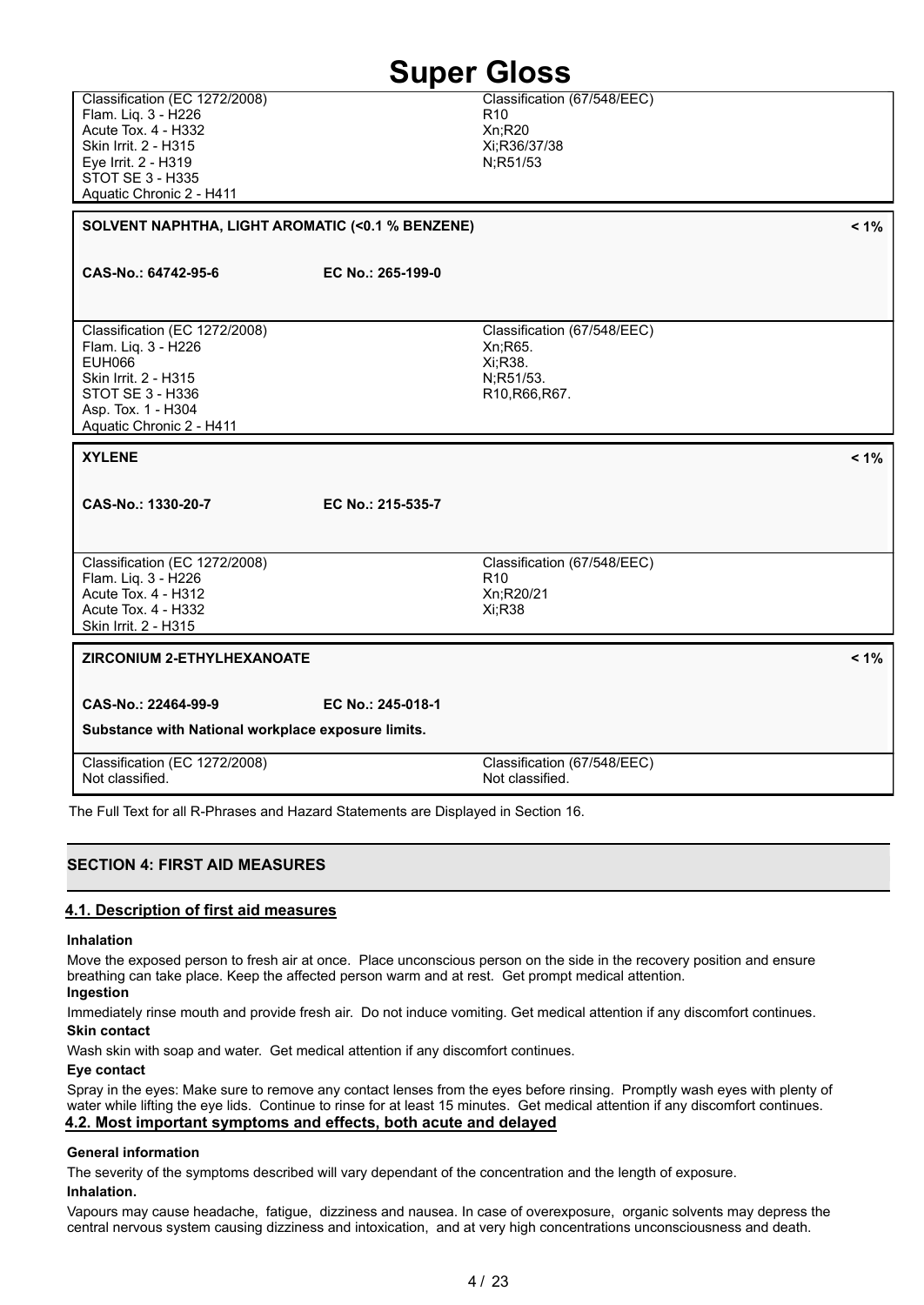Classification (EC 1272/2008) Flam. Liq. 3 - H226 Acute Tox. 4 - H332 Skin Irrit. 2 - H315 Eye Irrit. 2 - H319 STOT SE 3 - H335 Aquatic Chronic 2 - H411

Classification (67/548/EEC)  $R10$ Xn;R20 Xi;R36/37/38 N;R51/53

**SOLVENT NAPHTHA, LIGHT AROMATIC (<0.1 % BENZENE) < 1%**

**CAS-No.: 64742-95-6 EC No.: 265-199-0**

Classification (EC 1272/2008) Flam. Liq. 3 - H226 EUH066 Skin Irrit. 2 - H315 STOT SE 3 - H336 Asp. Tox. 1 - H304 Aquatic Chronic 2 - H411

#### **XYLENE < 1%**

**CAS-No.: 1330-20-7 EC No.: 215-535-7**

Classification (EC 1272/2008) Flam. Liq. 3 - H226 Acute Tox. 4 - H312 Acute Tox. 4 - H332 Skin Irrit. 2 - H315

#### **ZIRCONIUM 2-ETHYLHEXANOATE < 1%**

**CAS-No.: 22464-99-9 EC No.: 245-018-1**

**Substance with National workplace exposure limits.**

Classification (67/548/EEC) Not classified. Classification (EC 1272/2008) Not classified.

The Full Text for all R-Phrases and Hazard Statements are Displayed in Section 16.

### **SECTION 4: FIRST AID MEASURES**

#### **4.1. Description of first aid measures**

#### **Inhalation**

Move the exposed person to fresh air at once. Place unconscious person on the side in the recovery position and ensure breathing can take place. Keep the affected person warm and at rest. Get prompt medical attention.

#### **Ingestion**

Immediately rinse mouth and provide fresh air. Do not induce vomiting. Get medical attention if any discomfort continues.

### **Skin contact**

Wash skin with soap and water. Get medical attention if any discomfort continues.

#### **Eye contact**

Spray in the eyes: Make sure to remove any contact lenses from the eyes before rinsing. Promptly wash eyes with plenty of water while lifting the eye lids. Continue to rinse for at least 15 minutes. Get medical attention if any discomfort continues. **4.2. Most important symptoms and effects, both acute and delayed**

#### **General information**

The severity of the symptoms described will vary dependant of the concentration and the length of exposure. **Inhalation.**

Vapours may cause headache, fatigue, dizziness and nausea. In case of overexposure, organic solvents may depress the central nervous system causing dizziness and intoxication, and at very high concentrations unconsciousness and death.

### Classification (67/548/EEC) Xn;R65. Xi;R38. N;R51/53. R10,R66,R67.

Classification (67/548/EEC)

Xi;R38

R10 Xn;R20/21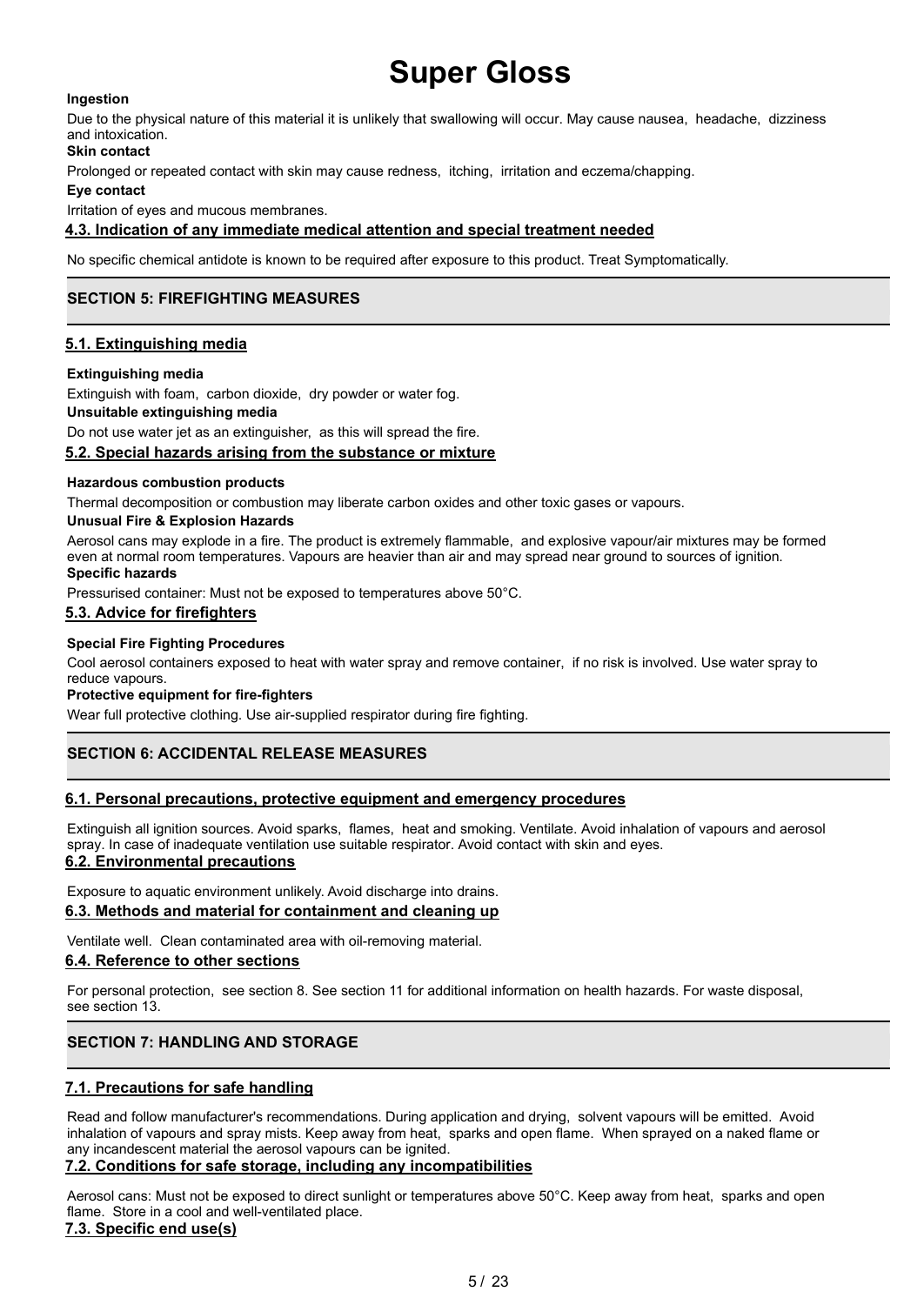#### **Ingestion**

Due to the physical nature of this material it is unlikely that swallowing will occur. May cause nausea, headache, dizziness and intoxication.

#### **Skin contact**

Prolonged or repeated contact with skin may cause redness, itching, irritation and eczema/chapping.

#### **Eye contact**

Irritation of eyes and mucous membranes.

#### **4.3. Indication of any immediate medical attention and special treatment needed**

No specific chemical antidote is known to be required after exposure to this product. Treat Symptomatically.

### **SECTION 5: FIREFIGHTING MEASURES**

#### **5.1. Extinguishing media**

#### **Extinguishing media**

Extinguish with foam, carbon dioxide, dry powder or water fog.

#### **Unsuitable extinguishing media**

Do not use water jet as an extinguisher, as this will spread the fire.

#### **5.2. Special hazards arising from the substance or mixture**

#### **Hazardous combustion products**

Thermal decomposition or combustion may liberate carbon oxides and other toxic gases or vapours.

#### **Unusual Fire & Explosion Hazards**

Aerosol cans may explode in a fire. The product is extremely flammable, and explosive vapour/air mixtures may be formed even at normal room temperatures. Vapours are heavier than air and may spread near ground to sources of ignition. **Specific hazards**

Pressurised container: Must not be exposed to temperatures above 50°C.

#### **5.3. Advice for firefighters**

#### **Special Fire Fighting Procedures**

Cool aerosol containers exposed to heat with water spray and remove container, if no risk is involved. Use water spray to reduce vapours.

#### **Protective equipment for fire-fighters**

Wear full protective clothing. Use air-supplied respirator during fire fighting.

### **SECTION 6: ACCIDENTAL RELEASE MEASURES**

#### **6.1. Personal precautions, protective equipment and emergency procedures**

Extinguish all ignition sources. Avoid sparks, flames, heat and smoking. Ventilate. Avoid inhalation of vapours and aerosol spray. In case of inadequate ventilation use suitable respirator. Avoid contact with skin and eyes.

#### **6.2. Environmental precautions**

Exposure to aquatic environment unlikely. Avoid discharge into drains. **6.3. Methods and material for containment and cleaning up**

Ventilate well. Clean contaminated area with oil-removing material.

#### **6.4. Reference to other sections**

For personal protection, see section 8. See section 11 for additional information on health hazards. For waste disposal, see section 13.

### **SECTION 7: HANDLING AND STORAGE**

#### **7.1. Precautions for safe handling**

Read and follow manufacturer's recommendations. During application and drying, solvent vapours will be emitted. Avoid inhalation of vapours and spray mists. Keep away from heat, sparks and open flame. When sprayed on a naked flame or any incandescent material the aerosol vapours can be ignited.

#### **7.2. Conditions for safe storage, including any incompatibilities**

Aerosol cans: Must not be exposed to direct sunlight or temperatures above 50°C. Keep away from heat, sparks and open flame. Store in a cool and well-ventilated place.

#### **7.3. Specific end use(s)**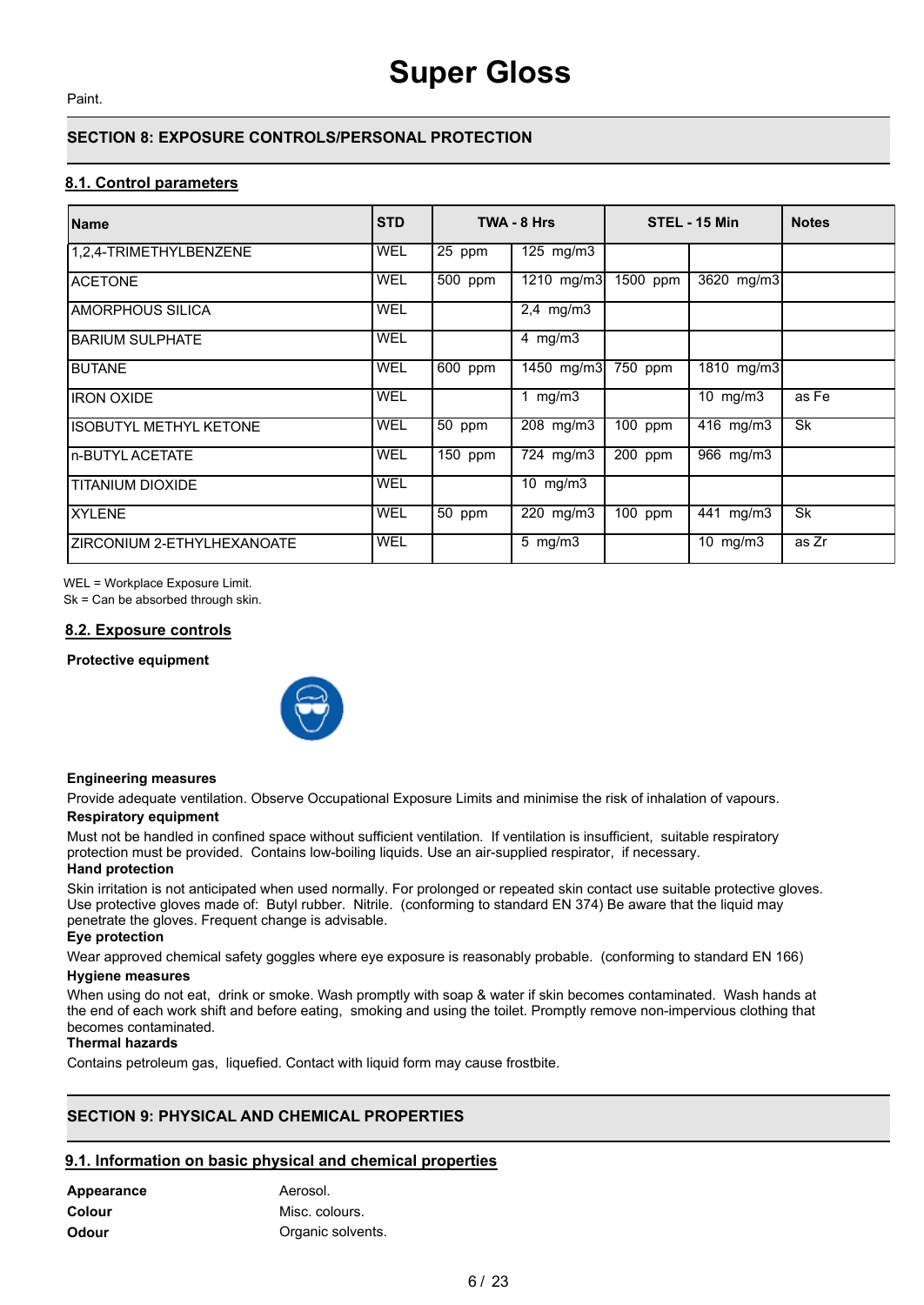Paint.

### **SECTION 8: EXPOSURE CONTROLS/PERSONAL PROTECTION**

#### **8.1. Control parameters**

| Name                        | <b>STD</b> |         | TWA - 8 Hrs             |            | STEL - 15 Min          | <b>Notes</b> |
|-----------------------------|------------|---------|-------------------------|------------|------------------------|--------------|
| 1,2,4-TRIMETHYLBENZENE      | <b>WEL</b> | 25 ppm  | 125 mg/m3               |            |                        |              |
| IACETONE                    | <b>WEL</b> | 500 ppm | $\overline{1210}$ mg/m3 | $1500$ ppm | 3620 mg/m3             |              |
| IAMORPHOUS SILICA           | <b>WEL</b> |         | $2,4$ mg/m $3$          |            |                        |              |
| <b>BARIUM SULPHATE</b>      | <b>WEL</b> |         | 4 $mg/m3$               |            |                        |              |
| <b>IBUTANE</b>              | <b>WEL</b> | 600 ppm | 1450 mg/m3              | 750 ppm    | 1810 mg/m3             |              |
| liron oxide                 | WEL        |         | 1 mg/m $3$              |            | 10 $mg/m3$             | as Fe        |
| IISOBUTYL METHYL KETONE     | <b>WEL</b> | 50 ppm  | 208 mg/m3               | 100 ppm    | $\overline{416}$ mg/m3 | <b>Sk</b>    |
| In-BUTYL ACETATE            | <b>WEL</b> | 150 ppm | 724 mg/m3               | 200 ppm    | 966 mg/m3              |              |
| ITITANIUM DIOXIDE           | <b>WEL</b> |         | 10 $mg/m3$              |            |                        |              |
| IXYLENE                     | <b>WEL</b> | 50 ppm  | 220 mg/m3               | 100 ppm    | 441 mg/m3              | <b>Sk</b>    |
| IZIRCONIUM 2-ETHYLHEXANOATE | <b>WEL</b> |         | 5 mg/m3                 |            | 10 $mg/m3$             | as Zr        |

WEL = Workplace Exposure Limit.

Sk = Can be absorbed through skin.

#### **8.2. Exposure controls**

**Protective equipment**



#### **Engineering measures**

Provide adequate ventilation. Observe Occupational Exposure Limits and minimise the risk of inhalation of vapours.

#### **Respiratory equipment**

Must not be handled in confined space without sufficient ventilation. If ventilation is insufficient, suitable respiratory protection must be provided. Contains low-boiling liquids. Use an air-supplied respirator, if necessary. **Hand protection**

Skin irritation is not anticipated when used normally. For prolonged or repeated skin contact use suitable protective gloves. Use protective gloves made of: Butyl rubber. Nitrile. (conforming to standard EN 374) Be aware that the liquid may penetrate the gloves. Frequent change is advisable.

#### **Eye protection**

Wear approved chemical safety goggles where eye exposure is reasonably probable. (conforming to standard EN 166)

#### **Hygiene measures**

When using do not eat, drink or smoke. Wash promptly with soap & water if skin becomes contaminated. Wash hands at the end of each work shift and before eating, smoking and using the toilet. Promptly remove non-impervious clothing that becomes contaminated.

#### **Thermal hazards**

Contains petroleum gas, liquefied. Contact with liquid form may cause frostbite.

### **SECTION 9: PHYSICAL AND CHEMICAL PROPERTIES**

#### **9.1. Information on basic physical and chemical properties**

| Appearance    | Aerosol.          |
|---------------|-------------------|
| <b>Colour</b> | Misc. colours.    |
| <b>Odour</b>  | Organic solvents. |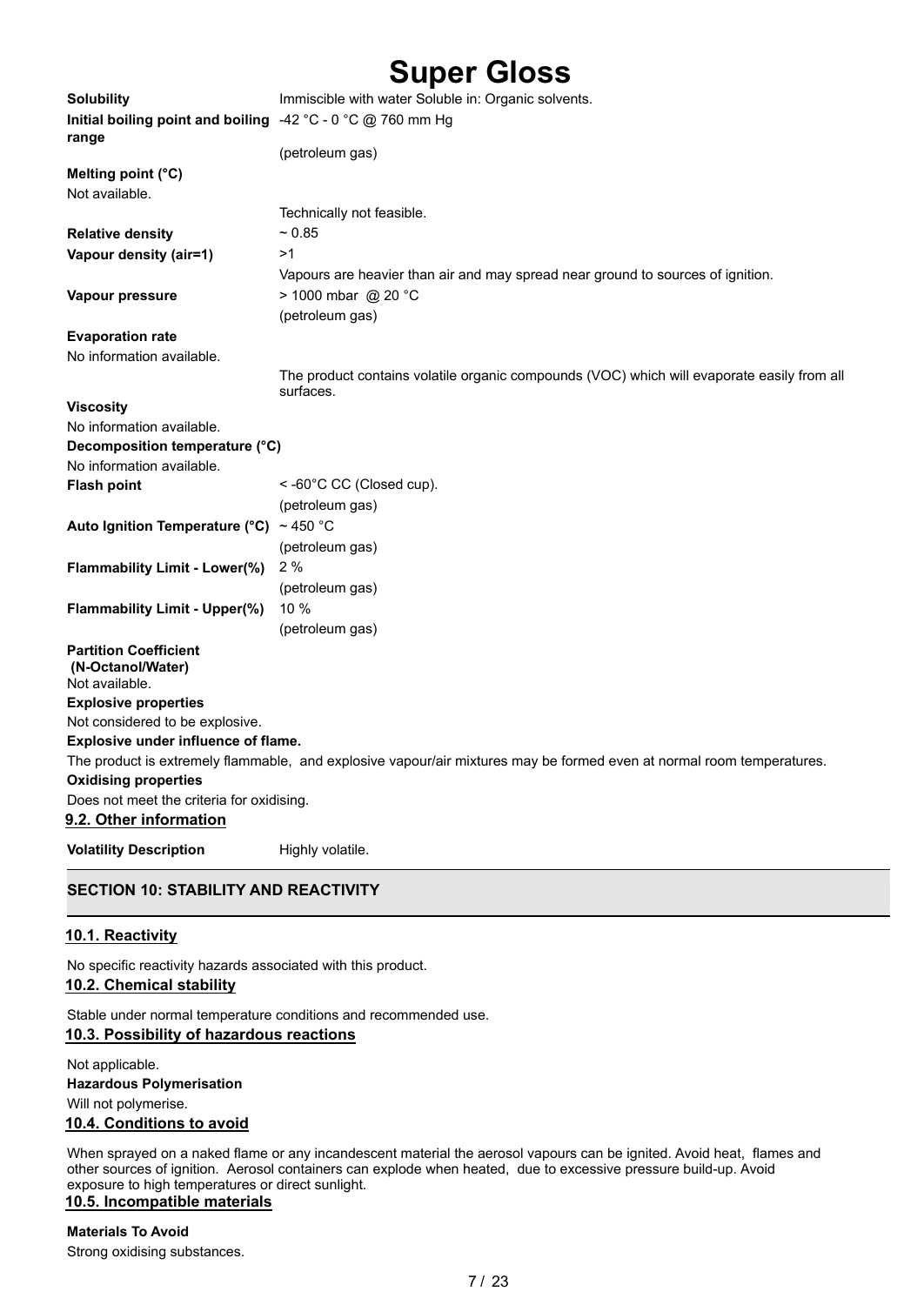| <b>Solubility</b>                                                   | Immiscible with water Soluble in: Organic solvents.                                                                   |
|---------------------------------------------------------------------|-----------------------------------------------------------------------------------------------------------------------|
| Initial boiling point and boiling<br>range                          | -42 °C - 0 °C @ 760 mm Hg                                                                                             |
|                                                                     | (petroleum gas)                                                                                                       |
| Melting point (°C)                                                  |                                                                                                                       |
| Not available.                                                      |                                                                                                                       |
|                                                                     | Technically not feasible.                                                                                             |
| <b>Relative density</b>                                             | ~ 0.85                                                                                                                |
| Vapour density (air=1)                                              | >1                                                                                                                    |
|                                                                     | Vapours are heavier than air and may spread near ground to sources of ignition.                                       |
| Vapour pressure                                                     | > 1000 mbar @ 20 °C                                                                                                   |
|                                                                     | (petroleum gas)                                                                                                       |
| <b>Evaporation rate</b>                                             |                                                                                                                       |
| No information available.                                           |                                                                                                                       |
|                                                                     | The product contains volatile organic compounds (VOC) which will evaporate easily from all<br>surfaces.               |
| <b>Viscosity</b>                                                    |                                                                                                                       |
| No information available.                                           |                                                                                                                       |
| Decomposition temperature (°C)                                      |                                                                                                                       |
| No information available.                                           |                                                                                                                       |
| <b>Flash point</b>                                                  | <-60°C CC (Closed cup).                                                                                               |
|                                                                     | (petroleum gas)                                                                                                       |
| Auto Ignition Temperature ( $°C$ ) ~ 450 °C                         |                                                                                                                       |
|                                                                     | (petroleum gas)                                                                                                       |
| Flammability Limit - Lower(%)                                       | 2%                                                                                                                    |
|                                                                     | (petroleum gas)                                                                                                       |
| <b>Flammability Limit - Upper(%)</b>                                | 10 %                                                                                                                  |
|                                                                     | (petroleum gas)                                                                                                       |
| <b>Partition Coefficient</b><br>(N-Octanol/Water)<br>Not available. |                                                                                                                       |
| <b>Explosive properties</b>                                         |                                                                                                                       |
| Not considered to be explosive.                                     |                                                                                                                       |
| Explosive under influence of flame.                                 |                                                                                                                       |
|                                                                     | The product is extremely flammable, and explosive vapour/air mixtures may be formed even at normal room temperatures. |
| <b>Oxidising properties</b>                                         |                                                                                                                       |
| Does not meet the criteria for oxidising.                           |                                                                                                                       |
| 9.2. Other information                                              |                                                                                                                       |
| <b>Volatility Description</b>                                       | Highly volatile.                                                                                                      |

### **SECTION 10: STABILITY AND REACTIVITY**

#### **10.1. Reactivity**

No specific reactivity hazards associated with this product.

#### **10.2. Chemical stability**

Stable under normal temperature conditions and recommended use. **10.3. Possibility of hazardous reactions**

Not applicable. **Hazardous Polymerisation** Will not polymerise.

#### **10.4. Conditions to avoid**

When sprayed on a naked flame or any incandescent material the aerosol vapours can be ignited. Avoid heat, flames and other sources of ignition. Aerosol containers can explode when heated, due to excessive pressure build-up. Avoid exposure to high temperatures or direct sunlight. **10.5. Incompatible materials**

### **Materials To Avoid**

Strong oxidising substances.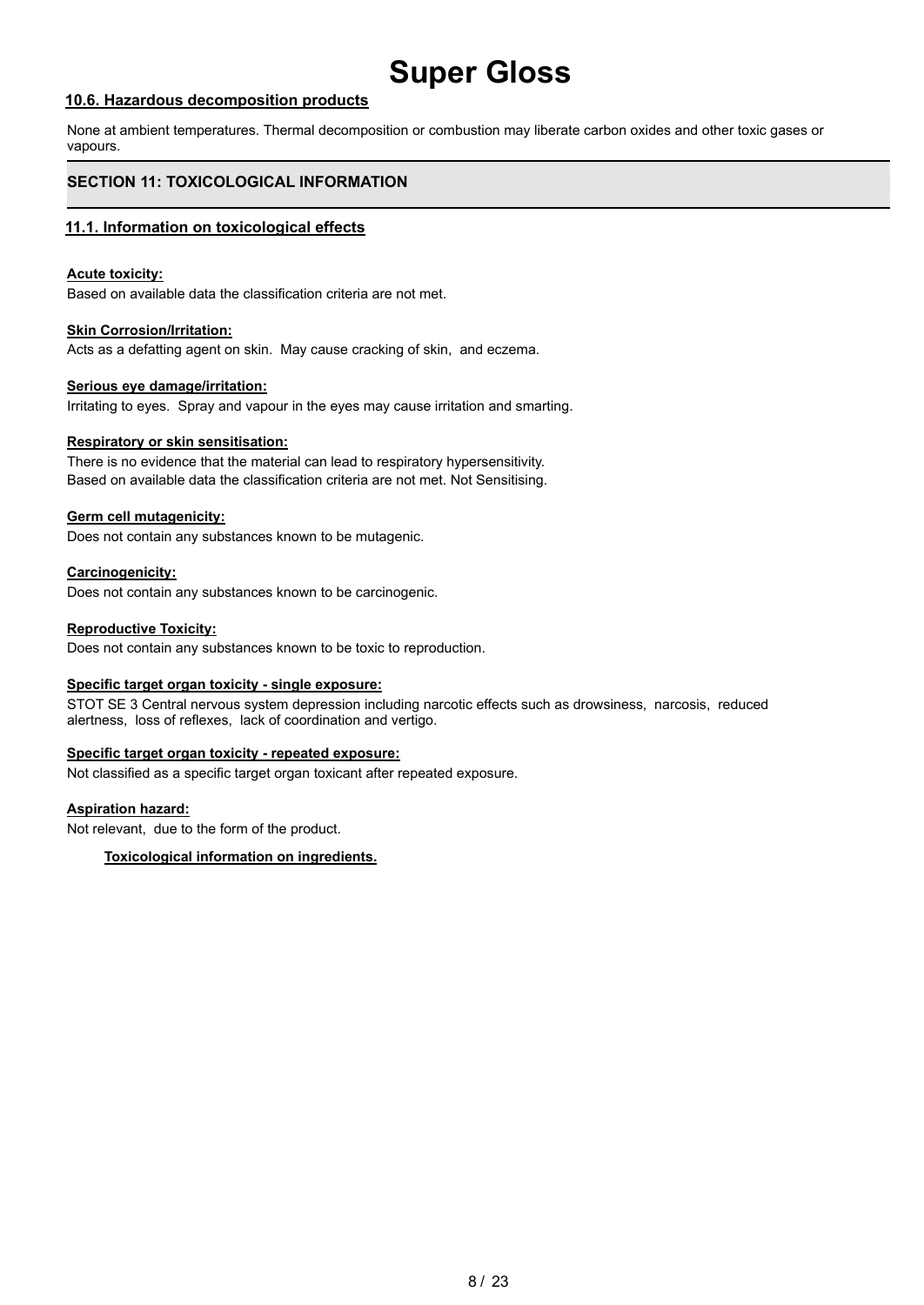#### **10.6. Hazardous decomposition products**

None at ambient temperatures. Thermal decomposition or combustion may liberate carbon oxides and other toxic gases or vapours.

### **SECTION 11: TOXICOLOGICAL INFORMATION**

#### **11.1. Information on toxicological effects**

#### **Acute toxicity:**

Based on available data the classification criteria are not met.

#### **Skin Corrosion/Irritation:**

Acts as a defatting agent on skin. May cause cracking of skin, and eczema.

#### **Serious eye damage/irritation:**

Irritating to eyes. Spray and vapour in the eyes may cause irritation and smarting.

#### **Respiratory or skin sensitisation:**

There is no evidence that the material can lead to respiratory hypersensitivity. Based on available data the classification criteria are not met. Not Sensitising.

#### **Germ cell mutagenicity:**

Does not contain any substances known to be mutagenic.

#### **Carcinogenicity:**

Does not contain any substances known to be carcinogenic.

#### **Reproductive Toxicity:**

Does not contain any substances known to be toxic to reproduction.

#### **Specific target organ toxicity - single exposure:**

STOT SE 3 Central nervous system depression including narcotic effects such as drowsiness, narcosis, reduced alertness, loss of reflexes, lack of coordination and vertigo.

#### **Specific target organ toxicity - repeated exposure:**

Not classified as a specific target organ toxicant after repeated exposure.

#### **Aspiration hazard:**

Not relevant, due to the form of the product.

#### **Toxicological information on ingredients.**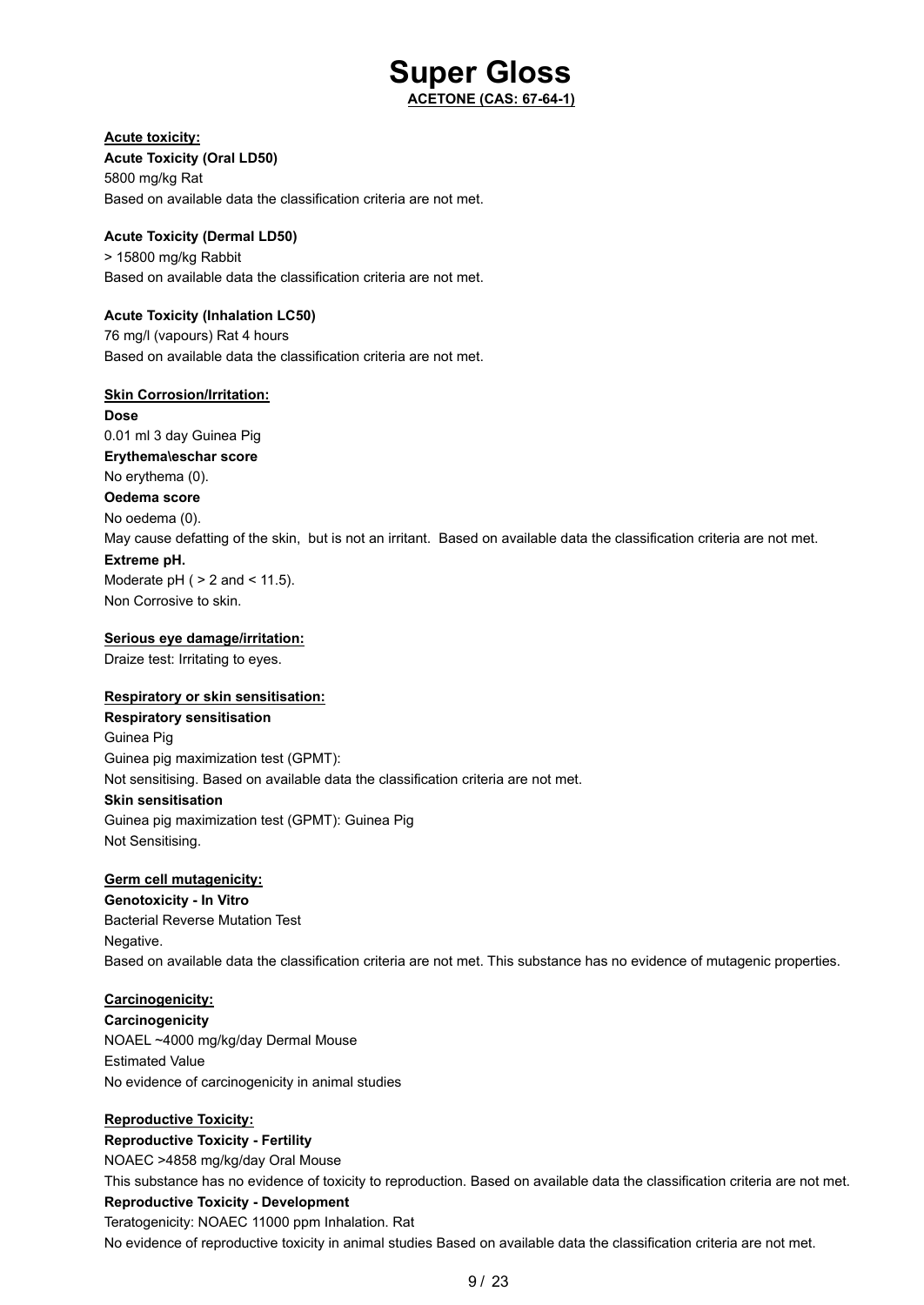**ACETONE (CAS: 67-64-1)**

#### **Acute toxicity:**

**Acute Toxicity (Oral LD50)** 5800 mg/kg Rat Based on available data the classification criteria are not met.

#### **Acute Toxicity (Dermal LD50)**

> 15800 mg/kg Rabbit Based on available data the classification criteria are not met.

#### **Acute Toxicity (Inhalation LC50)**

76 mg/l (vapours) Rat 4 hours Based on available data the classification criteria are not met.

#### **Skin Corrosion/Irritation:**

**Dose** 0.01 ml 3 day Guinea Pig **Erythema\eschar score** No erythema (0). **Oedema score** No oedema (0). May cause defatting of the skin, but is not an irritant. Based on available data the classification criteria are not met. **Extreme pH.** Moderate  $pH$  (  $> 2$  and  $< 11.5$ ).

Non Corrosive to skin.

#### **Serious eye damage/irritation:**

Draize test: Irritating to eyes.

#### **Respiratory or skin sensitisation:**

**Respiratory sensitisation** Guinea Pig Guinea pig maximization test (GPMT): Not sensitising. Based on available data the classification criteria are not met. **Skin sensitisation** Guinea pig maximization test (GPMT): Guinea Pig Not Sensitising.

#### **Germ cell mutagenicity:**

**Genotoxicity - In Vitro** Bacterial Reverse Mutation Test Negative. Based on available data the classification criteria are not met. This substance has no evidence of mutagenic properties.

#### **Carcinogenicity:**

**Carcinogenicity** NOAEL ~4000 mg/kg/day Dermal Mouse Estimated Value No evidence of carcinogenicity in animal studies

#### **Reproductive Toxicity:**

**Reproductive Toxicity - Fertility** NOAEC >4858 mg/kg/day Oral Mouse This substance has no evidence of toxicity to reproduction. Based on available data the classification criteria are not met. **Reproductive Toxicity - Development** Teratogenicity: NOAEC 11000 ppm Inhalation. Rat No evidence of reproductive toxicity in animal studies Based on available data the classification criteria are not met.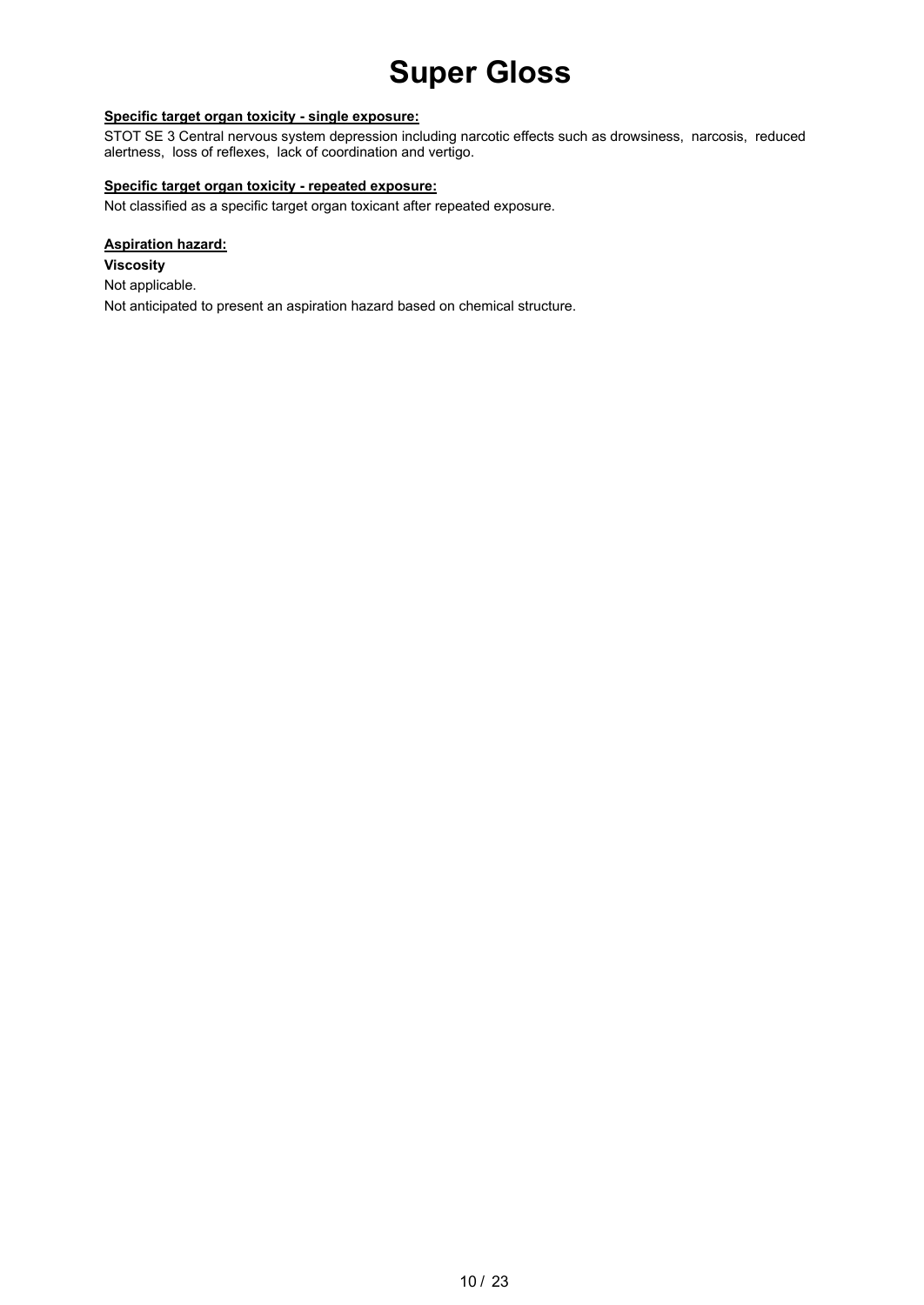#### **Specific target organ toxicity - single exposure:**

STOT SE 3 Central nervous system depression including narcotic effects such as drowsiness, narcosis, reduced alertness, loss of reflexes, lack of coordination and vertigo.

#### **Specific target organ toxicity - repeated exposure:**

Not classified as a specific target organ toxicant after repeated exposure.

#### **Aspiration hazard:**

**Viscosity** Not applicable. Not anticipated to present an aspiration hazard based on chemical structure.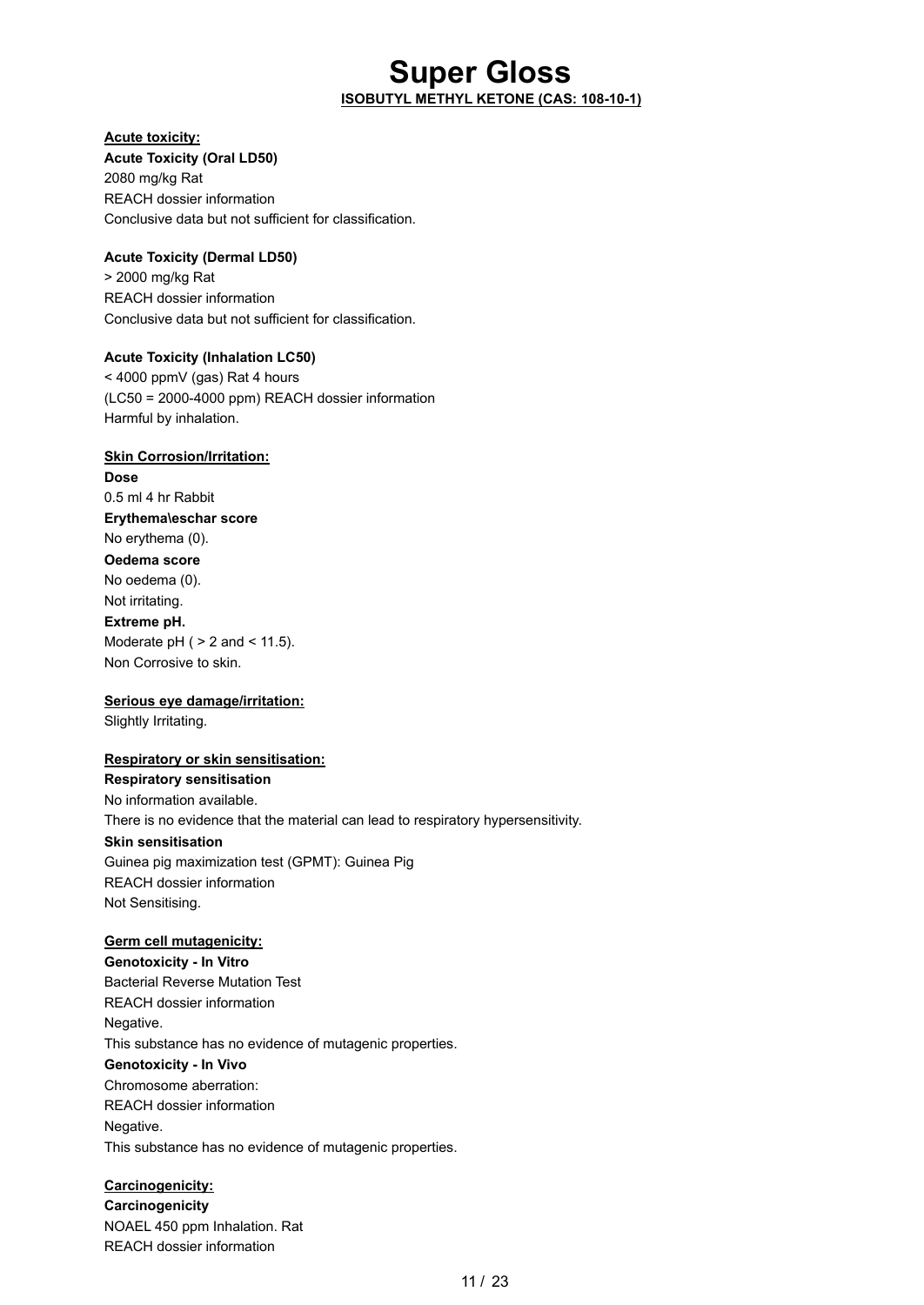### **Super Gloss ISOBUTYL METHYL KETONE (CAS: 108-10-1)**

#### **Acute toxicity:**

**Acute Toxicity (Oral LD50)** 2080 mg/kg Rat REACH dossier information Conclusive data but not sufficient for classification.

#### **Acute Toxicity (Dermal LD50)**

> 2000 mg/kg Rat REACH dossier information Conclusive data but not sufficient for classification.

#### **Acute Toxicity (Inhalation LC50)**

< 4000 ppmV (gas) Rat 4 hours (LC50 = 2000-4000 ppm) REACH dossier information Harmful by inhalation.

#### **Skin Corrosion/Irritation:**

**Dose** 0.5 ml 4 hr Rabbit **Erythema\eschar score** No erythema (0). **Oedema score** No oedema (0). Not irritating. **Extreme pH.** Moderate  $pH$  (  $> 2$  and  $< 11.5$ ). Non Corrosive to skin.

#### **Serious eye damage/irritation:**

Slightly Irritating.

#### **Respiratory or skin sensitisation:**

**Respiratory sensitisation** No information available. There is no evidence that the material can lead to respiratory hypersensitivity. **Skin sensitisation** Guinea pig maximization test (GPMT): Guinea Pig REACH dossier information Not Sensitising.

#### **Germ cell mutagenicity:**

**Genotoxicity - In Vitro** Bacterial Reverse Mutation Test REACH dossier information Negative. This substance has no evidence of mutagenic properties. **Genotoxicity - In Vivo** Chromosome aberration: REACH dossier information Negative. This substance has no evidence of mutagenic properties.

#### **Carcinogenicity:**

**Carcinogenicity** NOAEL 450 ppm Inhalation. Rat REACH dossier information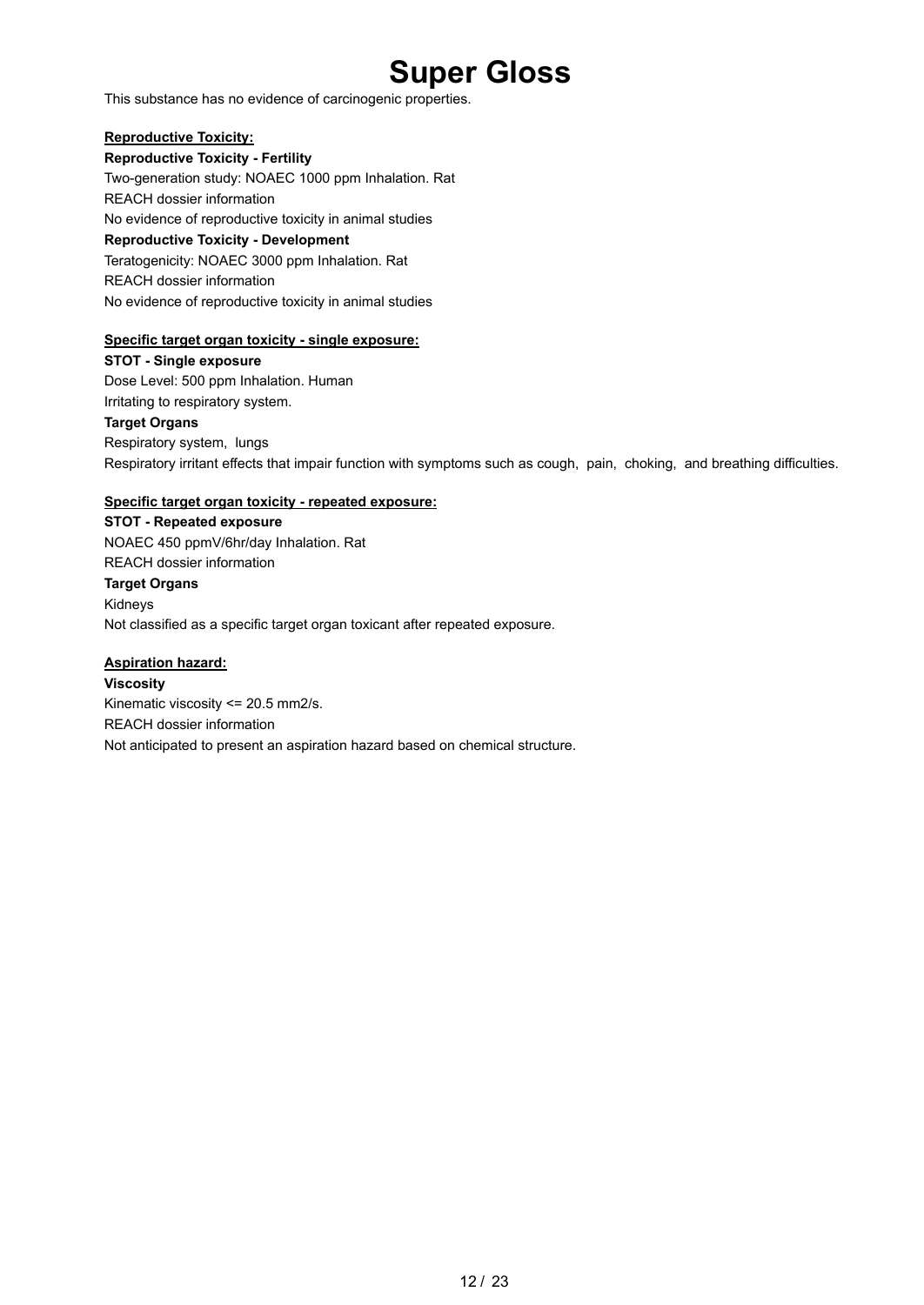This substance has no evidence of carcinogenic properties.

#### **Reproductive Toxicity:**

**Reproductive Toxicity - Fertility** Two-generation study: NOAEC 1000 ppm Inhalation. Rat REACH dossier information No evidence of reproductive toxicity in animal studies **Reproductive Toxicity - Development** Teratogenicity: NOAEC 3000 ppm Inhalation. Rat REACH dossier information No evidence of reproductive toxicity in animal studies

#### **Specific target organ toxicity - single exposure:**

**STOT - Single exposure** Dose Level: 500 ppm Inhalation. Human Irritating to respiratory system. **Target Organs** Respiratory system, lungs Respiratory irritant effects that impair function with symptoms such as cough, pain, choking, and breathing difficulties.

#### **Specific target organ toxicity - repeated exposure:**

**STOT - Repeated exposure** NOAEC 450 ppmV/6hr/day Inhalation. Rat REACH dossier information **Target Organs** Kidneys Not classified as a specific target organ toxicant after repeated exposure.

#### **Aspiration hazard:**

**Viscosity** Kinematic viscosity <= 20.5 mm2/s. REACH dossier information Not anticipated to present an aspiration hazard based on chemical structure.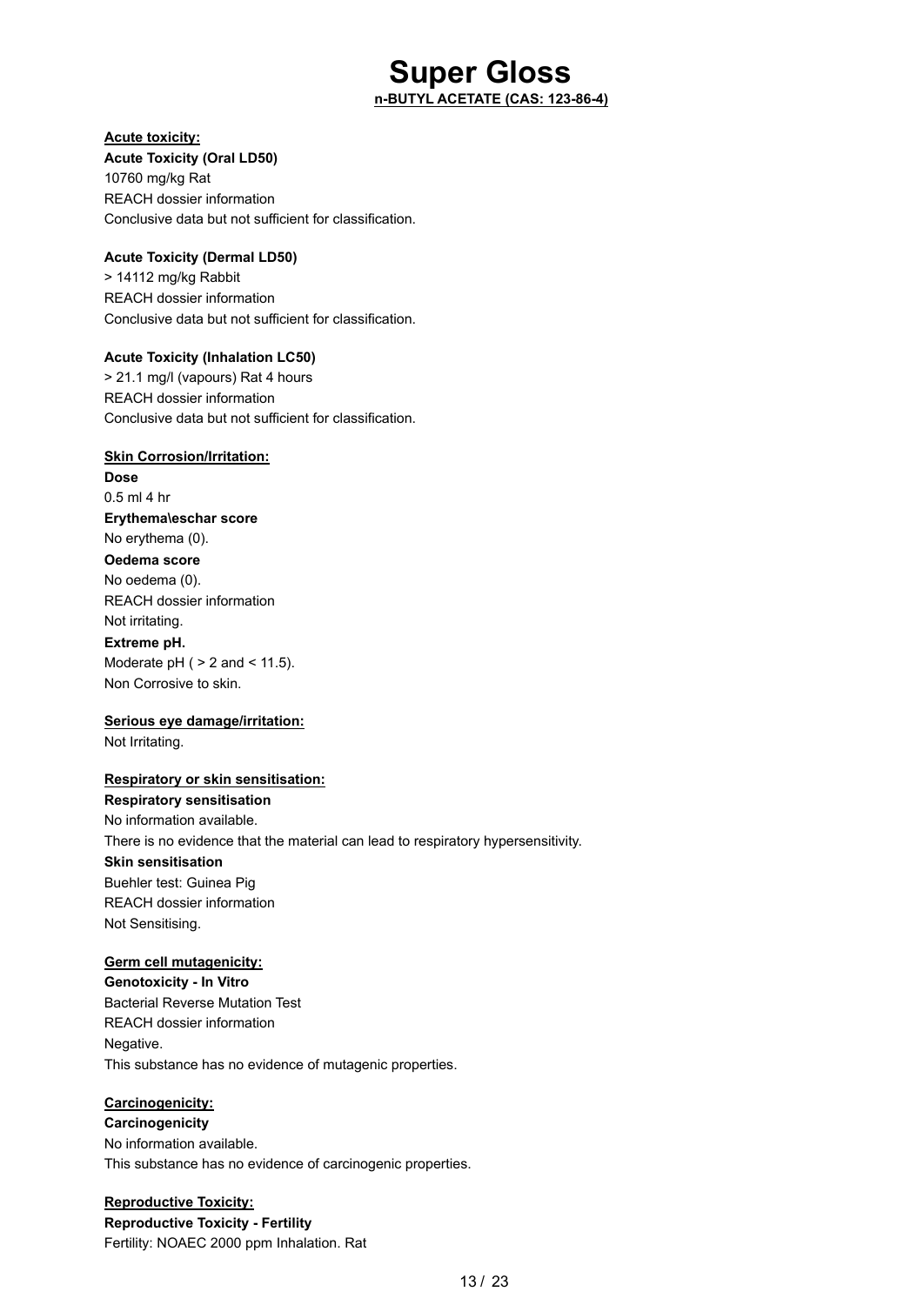### **Super Gloss n-BUTYL ACETATE (CAS: 123-86-4)**

#### **Acute toxicity:**

**Acute Toxicity (Oral LD50)** 10760 mg/kg Rat REACH dossier information Conclusive data but not sufficient for classification.

#### **Acute Toxicity (Dermal LD50)**

> 14112 mg/kg Rabbit REACH dossier information Conclusive data but not sufficient for classification.

#### **Acute Toxicity (Inhalation LC50)**

> 21.1 mg/l (vapours) Rat 4 hours REACH dossier information Conclusive data but not sufficient for classification.

#### **Skin Corrosion/Irritation:**

**Dose** 0.5 ml 4 hr **Erythema\eschar score** No erythema (0). **Oedema score** No oedema (0). REACH dossier information Not irritating.

#### **Extreme pH.**

Moderate  $pH$  (  $> 2$  and  $< 11.5$ ). Non Corrosive to skin.

#### **Serious eye damage/irritation:**

Not Irritating.

#### **Respiratory or skin sensitisation:**

**Respiratory sensitisation** No information available. There is no evidence that the material can lead to respiratory hypersensitivity. **Skin sensitisation** Buehler test: Guinea Pig REACH dossier information Not Sensitising.

#### **Germ cell mutagenicity:**

**Genotoxicity - In Vitro** Bacterial Reverse Mutation Test REACH dossier information Negative. This substance has no evidence of mutagenic properties.

#### **Carcinogenicity:**

**Carcinogenicity** No information available. This substance has no evidence of carcinogenic properties.

**Reproductive Toxicity: Reproductive Toxicity - Fertility** Fertility: NOAEC 2000 ppm Inhalation. Rat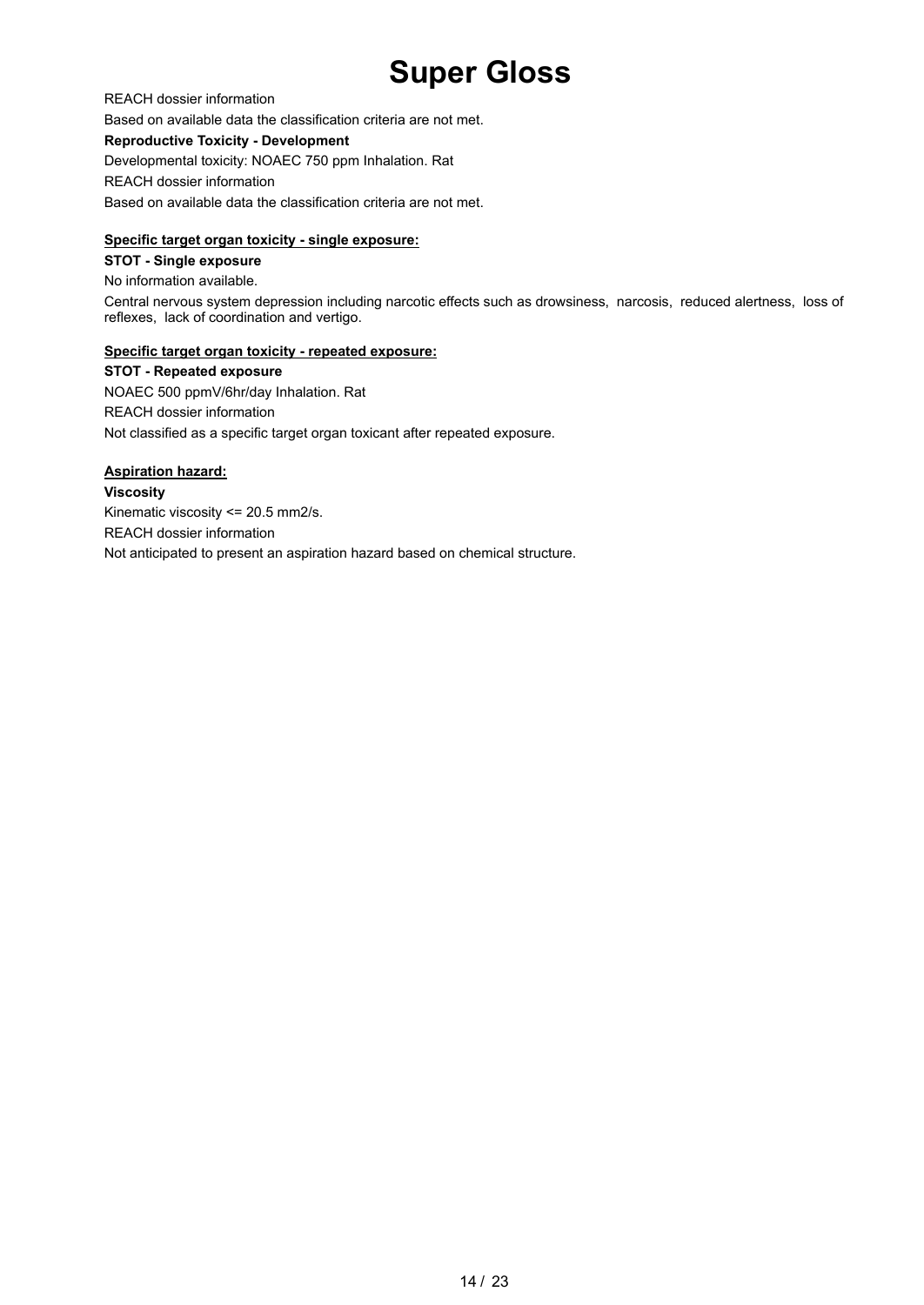REACH dossier information Based on available data the classification criteria are not met. **Reproductive Toxicity - Development** Developmental toxicity: NOAEC 750 ppm Inhalation. Rat REACH dossier information Based on available data the classification criteria are not met.

#### **Specific target organ toxicity - single exposure:**

#### **STOT - Single exposure**

No information available.

Central nervous system depression including narcotic effects such as drowsiness, narcosis, reduced alertness, loss of reflexes, lack of coordination and vertigo.

#### **Specific target organ toxicity - repeated exposure:**

**STOT - Repeated exposure** NOAEC 500 ppmV/6hr/day Inhalation. Rat REACH dossier information Not classified as a specific target organ toxicant after repeated exposure.

#### **Aspiration hazard:**

**Viscosity**

Kinematic viscosity <= 20.5 mm2/s. REACH dossier information Not anticipated to present an aspiration hazard based on chemical structure.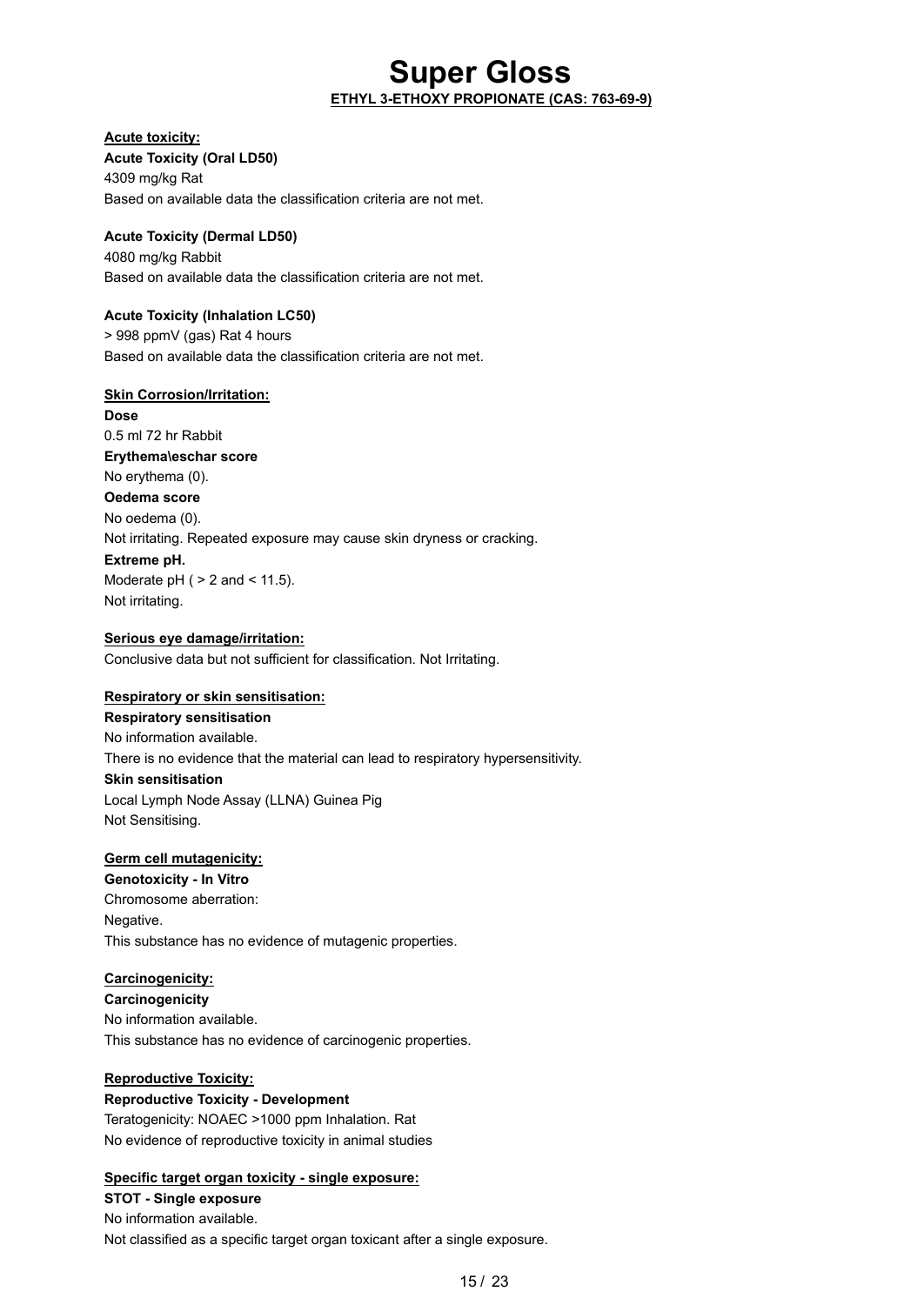### **Super Gloss ETHYL 3-ETHOXY PROPIONATE (CAS: 763-69-9)**

#### **Acute toxicity:**

**Acute Toxicity (Oral LD50)** 4309 mg/kg Rat Based on available data the classification criteria are not met.

#### **Acute Toxicity (Dermal LD50)**

4080 mg/kg Rabbit Based on available data the classification criteria are not met.

#### **Acute Toxicity (Inhalation LC50)**

> 998 ppmV (gas) Rat 4 hours Based on available data the classification criteria are not met.

#### **Skin Corrosion/Irritation:**

**Dose** 0.5 ml 72 hr Rabbit **Erythema\eschar score** No erythema (0). **Oedema score** No oedema (0). Not irritating. Repeated exposure may cause skin dryness or cracking. **Extreme pH.** Moderate  $pH$  (  $> 2$  and  $< 11.5$ ).

Not irritating.

#### **Serious eye damage/irritation:**

Conclusive data but not sufficient for classification. Not Irritating.

#### **Respiratory or skin sensitisation:**

**Respiratory sensitisation** No information available. There is no evidence that the material can lead to respiratory hypersensitivity. **Skin sensitisation** Local Lymph Node Assay (LLNA) Guinea Pig Not Sensitising.

#### **Germ cell mutagenicity:**

**Genotoxicity - In Vitro** Chromosome aberration: Negative. This substance has no evidence of mutagenic properties.

### **Carcinogenicity:**

**Carcinogenicity** No information available. This substance has no evidence of carcinogenic properties.

#### **Reproductive Toxicity:**

**Reproductive Toxicity - Development** Teratogenicity: NOAEC >1000 ppm Inhalation. Rat No evidence of reproductive toxicity in animal studies

#### **Specific target organ toxicity - single exposure:**

**STOT - Single exposure** No information available. Not classified as a specific target organ toxicant after a single exposure.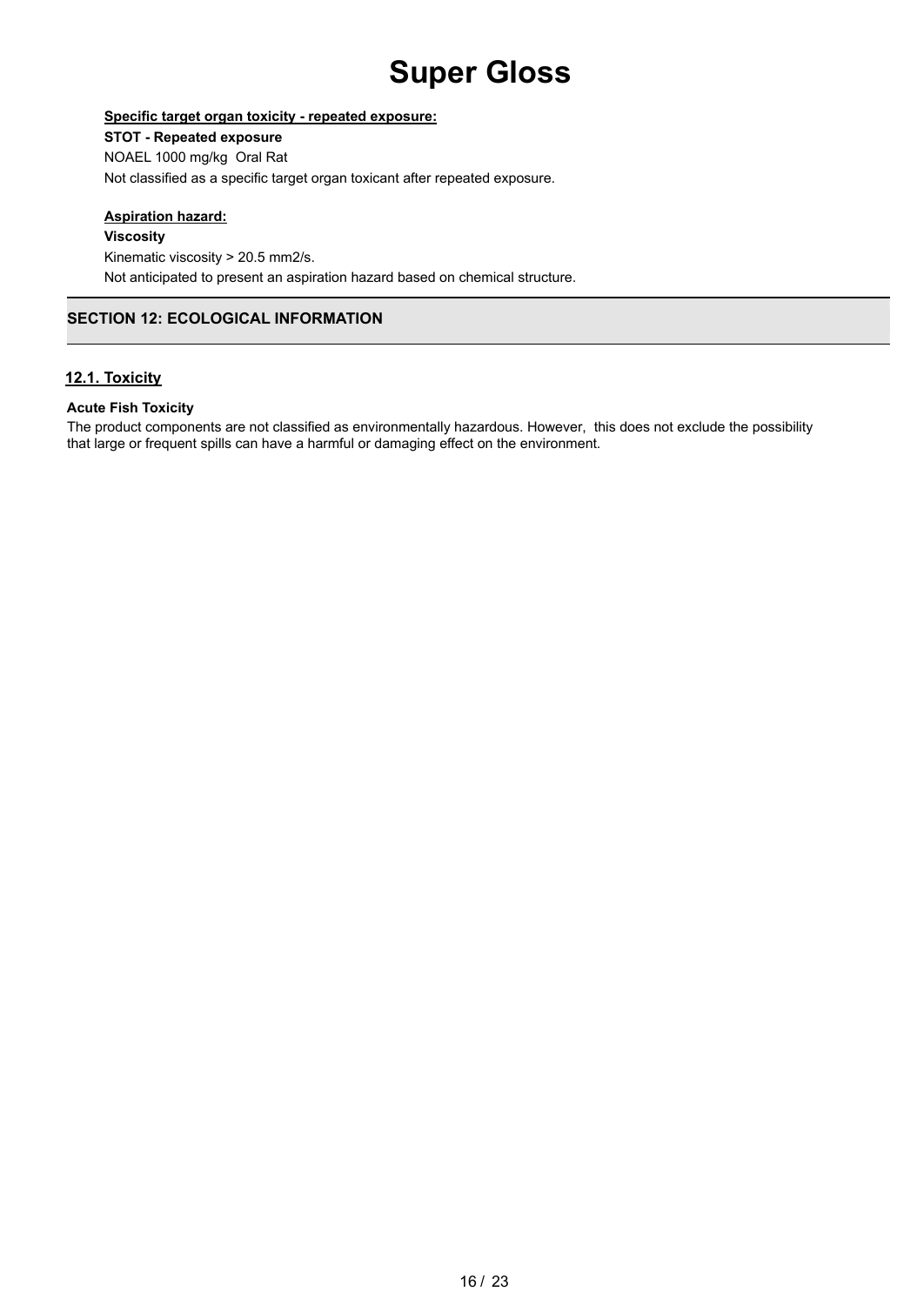#### **Specific target organ toxicity - repeated exposure:**

#### **STOT - Repeated exposure**

NOAEL 1000 mg/kg Oral Rat Not classified as a specific target organ toxicant after repeated exposure.

#### **Aspiration hazard:**

**Viscosity**

Kinematic viscosity > 20.5 mm2/s. Not anticipated to present an aspiration hazard based on chemical structure.

### **SECTION 12: ECOLOGICAL INFORMATION**

#### **12.1. Toxicity**

#### **Acute Fish Toxicity**

The product components are not classified as environmentally hazardous. However, this does not exclude the possibility that large or frequent spills can have a harmful or damaging effect on the environment.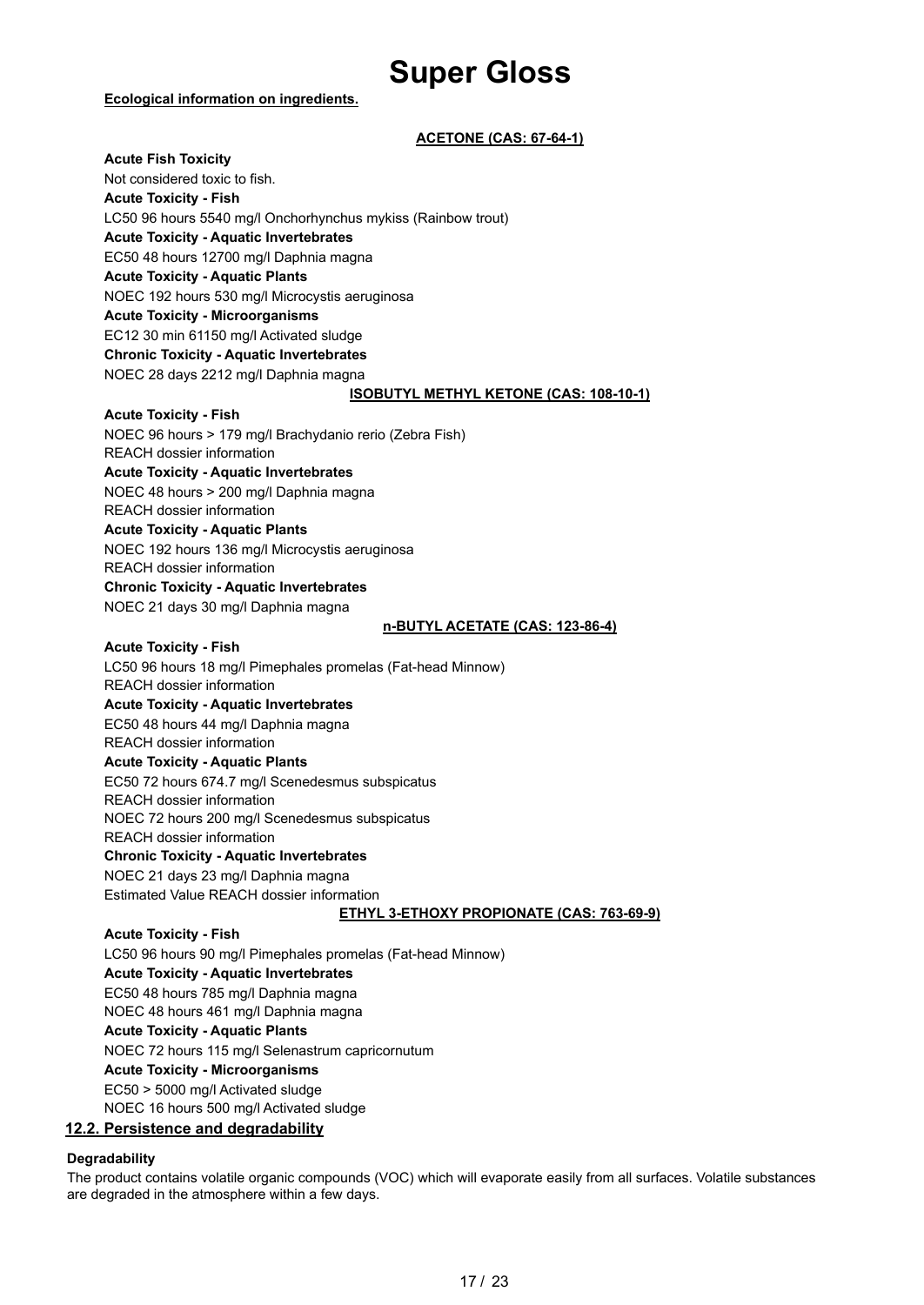#### **Ecological information on ingredients.**

#### **ACETONE (CAS: 67-64-1)**

**Acute Fish Toxicity** Not considered toxic to fish. **Acute Toxicity - Fish** LC50 96 hours 5540 mg/l Onchorhynchus mykiss (Rainbow trout) **Acute Toxicity - Aquatic Invertebrates** EC50 48 hours 12700 mg/l Daphnia magna **Acute Toxicity - Aquatic Plants** NOEC 192 hours 530 mg/l Microcystis aeruginosa **Acute Toxicity - Microorganisms** EC12 30 min 61150 mg/l Activated sludge **Chronic Toxicity - Aquatic Invertebrates** NOEC 28 days 2212 mg/l Daphnia magna **ISOBUTYL METHYL KETONE (CAS: 108-10-1) Acute Toxicity - Fish** NOEC 96 hours > 179 mg/l Brachydanio rerio (Zebra Fish) REACH dossier information **Acute Toxicity - Aquatic Invertebrates** NOEC 48 hours > 200 mg/l Daphnia magna REACH dossier information **Acute Toxicity - Aquatic Plants** NOEC 192 hours 136 mg/l Microcystis aeruginosa REACH dossier information **Chronic Toxicity - Aquatic Invertebrates** NOEC 21 days 30 mg/l Daphnia magna **n-BUTYL ACETATE (CAS: 123-86-4) Acute Toxicity - Fish** LC50 96 hours 18 mg/l Pimephales promelas (Fat-head Minnow) REACH dossier information **Acute Toxicity - Aquatic Invertebrates** EC50 48 hours 44 mg/l Daphnia magna REACH dossier information **Acute Toxicity - Aquatic Plants** EC50 72 hours 674.7 mg/l Scenedesmus subspicatus REACH dossier information NOEC 72 hours 200 mg/l Scenedesmus subspicatus REACH dossier information **Chronic Toxicity - Aquatic Invertebrates** NOEC 21 days 23 mg/l Daphnia magna Estimated Value REACH dossier information **ETHYL 3-ETHOXY PROPIONATE (CAS: 763-69-9) Acute Toxicity - Fish** LC50 96 hours 90 mg/l Pimephales promelas (Fat-head Minnow) **Acute Toxicity - Aquatic Invertebrates** EC50 48 hours 785 mg/l Daphnia magna NOEC 48 hours 461 mg/l Daphnia magna **Acute Toxicity - Aquatic Plants** NOEC 72 hours 115 mg/l Selenastrum capricornutum **Acute Toxicity - Microorganisms** EC50 > 5000 mg/l Activated sludge

NOEC 16 hours 500 mg/l Activated sludge

#### **12.2. Persistence and degradability**

#### **Degradability**

The product contains volatile organic compounds (VOC) which will evaporate easily from all surfaces. Volatile substances are degraded in the atmosphere within a few days.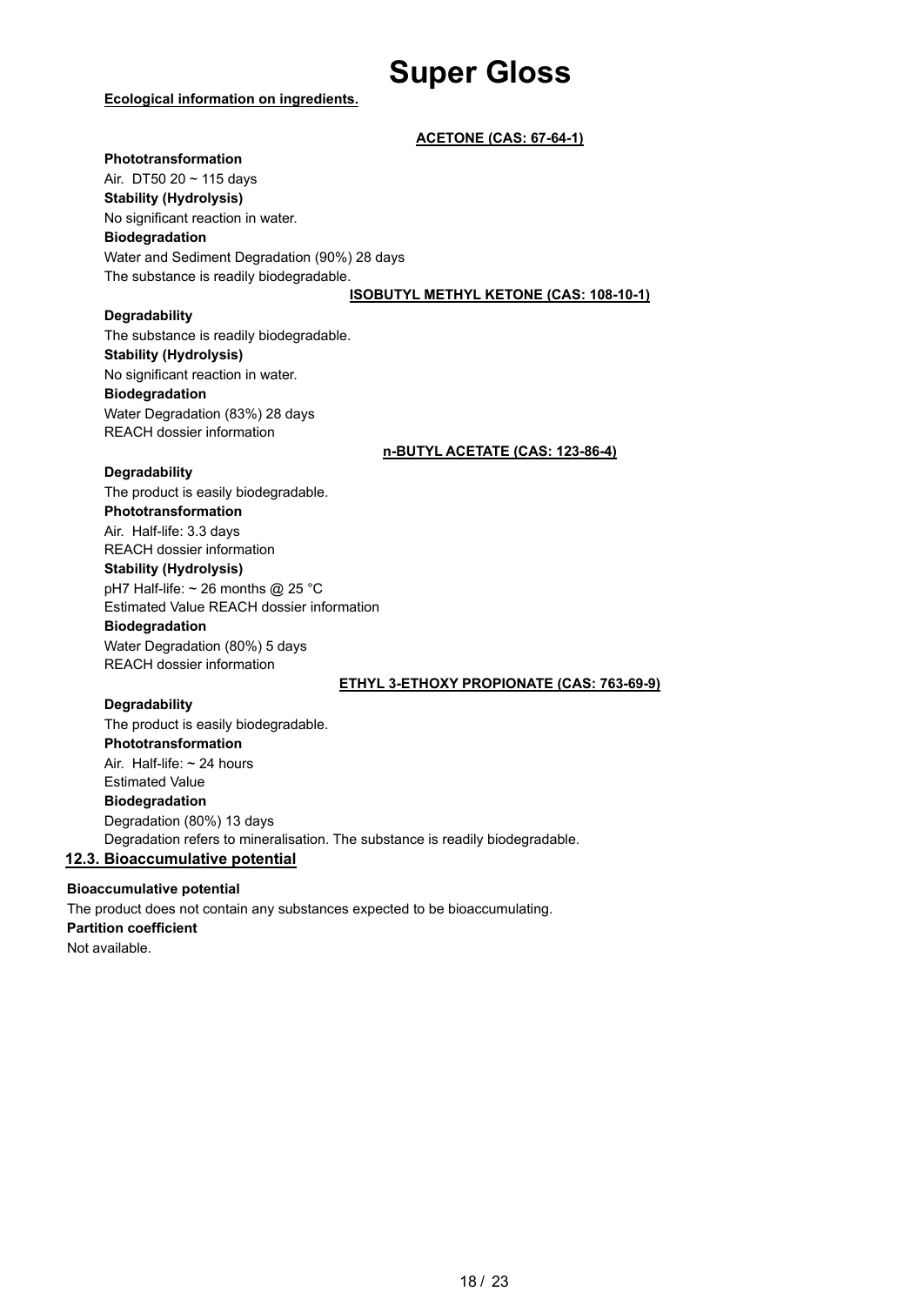#### **Ecological information on ingredients.**

#### **ACETONE (CAS: 67-64-1)**

#### **Phototransformation**

Air. DT50 20 ~ 115 days **Stability (Hydrolysis)** No significant reaction in water. **Biodegradation** Water and Sediment Degradation (90%) 28 days The substance is readily biodegradable.

#### **ISOBUTYL METHYL KETONE (CAS: 108-10-1)**

#### **Degradability**

The substance is readily biodegradable. **Stability (Hydrolysis)** No significant reaction in water. **Biodegradation** Water Degradation (83%) 28 days REACH dossier information

**n-BUTYL ACETATE (CAS: 123-86-4)**

#### **Degradability**

The product is easily biodegradable. **Phototransformation** Air. Half-life: 3.3 days REACH dossier information **Stability (Hydrolysis)** pH7 Half-life: ~ 26 months @ 25 °C Estimated Value REACH dossier information

### **Biodegradation**

Water Degradation (80%) 5 days REACH dossier information

#### **ETHYL 3-ETHOXY PROPIONATE (CAS: 763-69-9)**

#### **Degradability**

The product is easily biodegradable. **Phototransformation** Air. Half-life: ~ 24 hours Estimated Value **Biodegradation** Degradation (80%) 13 days Degradation refers to mineralisation. The substance is readily biodegradable. **12.3. Bioaccumulative potential**

#### **Bioaccumulative potential** The product does not contain any substances expected to be bioaccumulating. **Partition coefficient** Not available.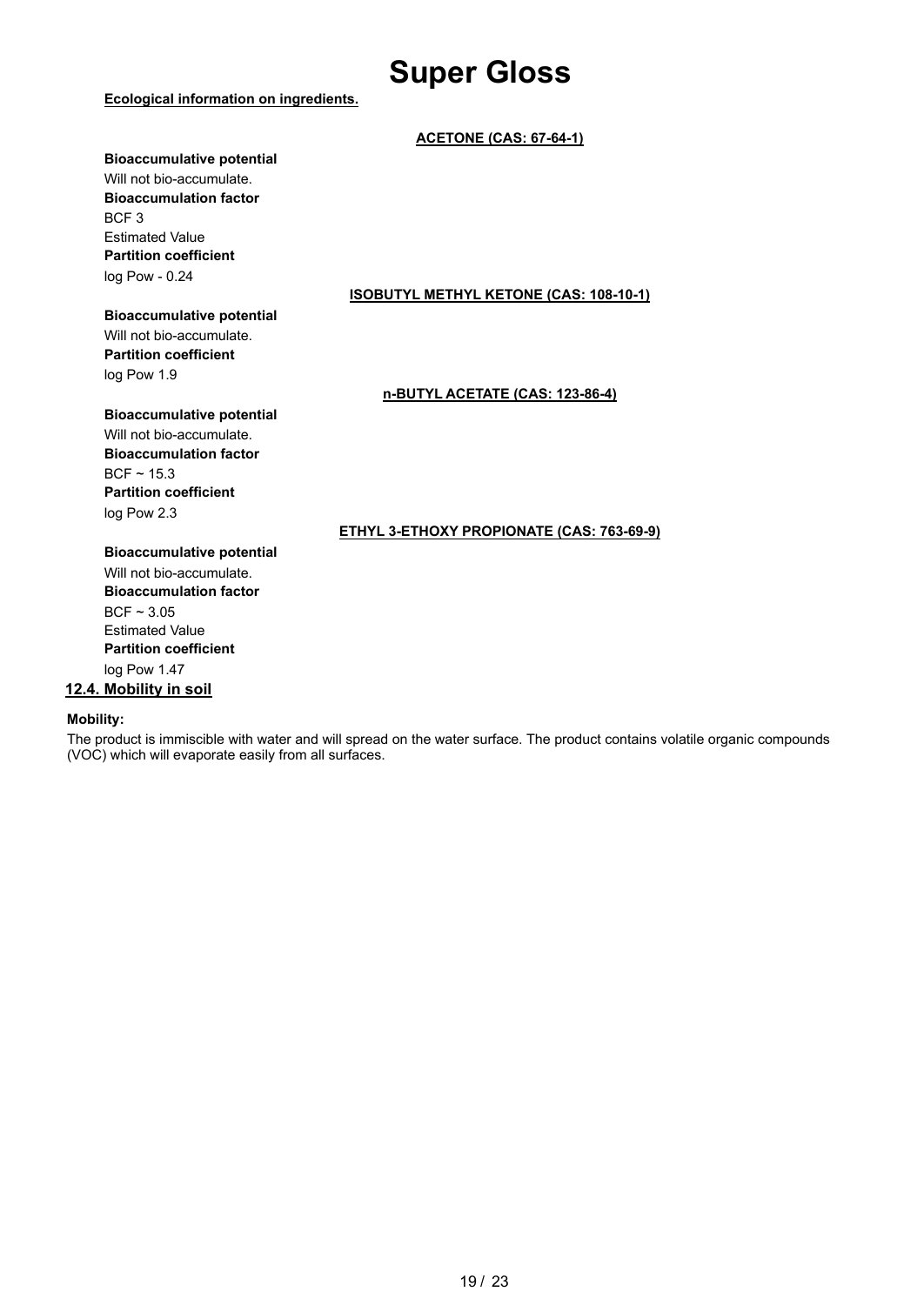#### **Ecological information on ingredients.**

#### **ACETONE (CAS: 67-64-1)**

#### **Bioaccumulative potential**

Will not bio-accumulate. **Bioaccumulation factor** BCF 3 Estimated Value **Partition coefficient** log Pow - 0.24

#### **Bioaccumulative potential**

Will not bio-accumulate. **Partition coefficient** log Pow 1.9

#### **ISOBUTYL METHYL KETONE (CAS: 108-10-1)**

#### **n-BUTYL ACETATE (CAS: 123-86-4)**

#### **Bioaccumulative potential**

Will not bio-accumulate. **Bioaccumulation factor**  $BCF \sim 15.3$ **Partition coefficient** log Pow 2.3

#### **ETHYL 3-ETHOXY PROPIONATE (CAS: 763-69-9)**

**Bioaccumulative potential** Will not bio-accumulate. **Bioaccumulation factor**  $BCF \sim 3.05$ Estimated Value **Partition coefficient** log Pow 1.47

#### **12.4. Mobility in soil**

#### **Mobility:**

The product is immiscible with water and will spread on the water surface. The product contains volatile organic compounds (VOC) which will evaporate easily from all surfaces.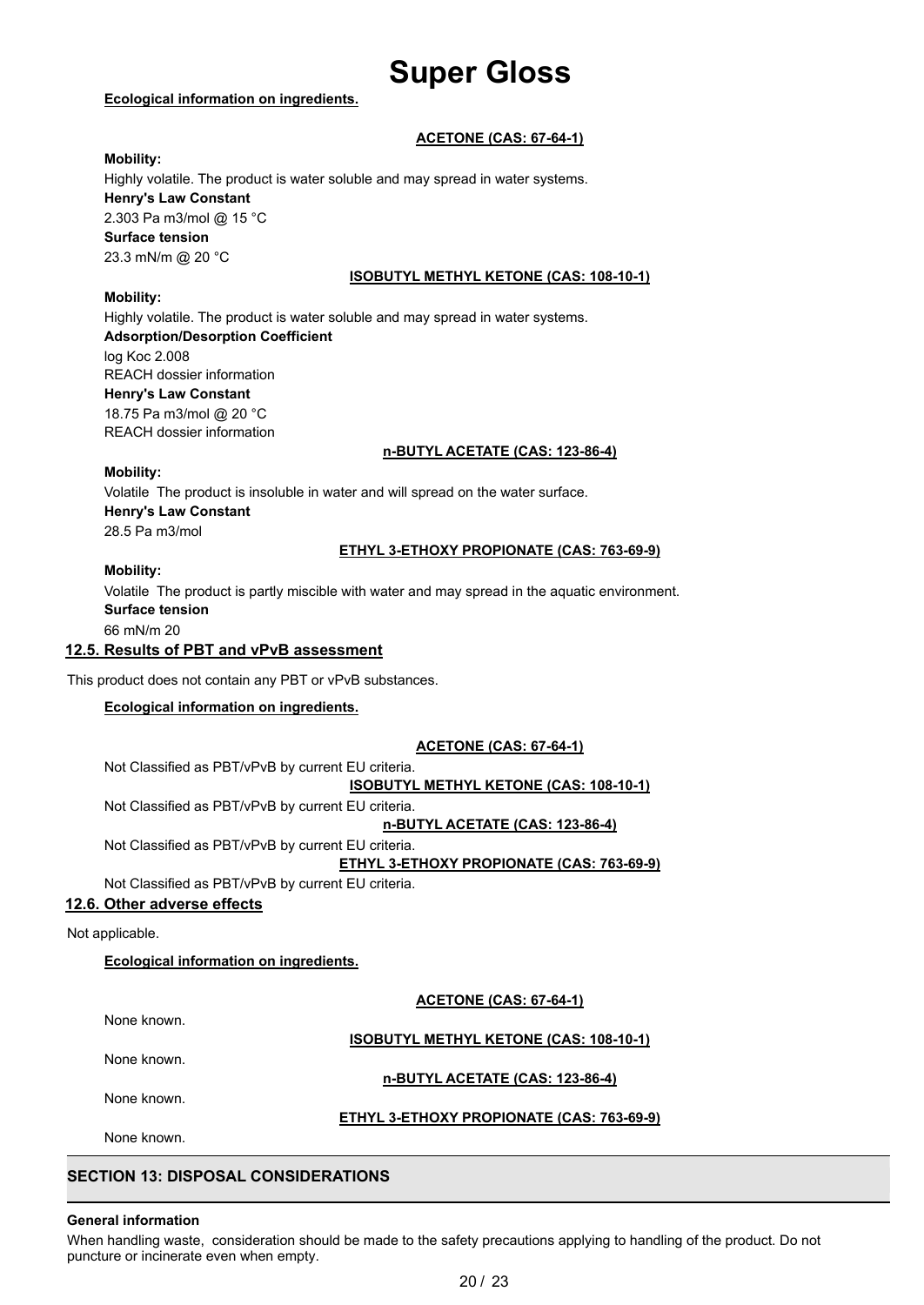#### **Ecological information on ingredients.**

#### **ACETONE (CAS: 67-64-1)**

#### **Mobility:**

Highly volatile. The product is water soluble and may spread in water systems. **Henry's Law Constant** 2.303 Pa m3/mol @ 15 °C **Surface tension** 23.3 mN/m @ 20 °C

#### **ISOBUTYL METHYL KETONE (CAS: 108-10-1)**

#### **Mobility:**

Highly volatile. The product is water soluble and may spread in water systems. **Adsorption/Desorption Coefficient** log Koc 2.008 REACH dossier information **Henry's Law Constant** 18.75 Pa m3/mol @ 20 °C REACH dossier information

#### **n-BUTYL ACETATE (CAS: 123-86-4)**

#### **Mobility:**

Volatile The product is insoluble in water and will spread on the water surface. **Henry's Law Constant** 28.5 Pa m3/mol

#### **ETHYL 3-ETHOXY PROPIONATE (CAS: 763-69-9)**

#### **Mobility:**

Volatile The product is partly miscible with water and may spread in the aquatic environment. **Surface tension** 66 mN/m 20

#### **12.5. Results of PBT and vPvB assessment**

This product does not contain any PBT or vPvB substances.

#### **Ecological information on ingredients.**

#### **ACETONE (CAS: 67-64-1)**

Not Classified as PBT/vPvB by current EU criteria. **ISOBUTYL METHYL KETONE (CAS: 108-10-1)**

Not Classified as PBT/vPvB by current EU criteria.

**n-BUTYL ACETATE (CAS: 123-86-4)**

Not Classified as PBT/vPvB by current EU criteria.

**ETHYL 3-ETHOXY PROPIONATE (CAS: 763-69-9)**

Not Classified as PBT/vPvB by current EU criteria.

#### **12.6. Other adverse effects**

Not applicable.

#### **Ecological information on ingredients.**

**ACETONE (CAS: 67-64-1)**

None known.

#### **ISOBUTYL METHYL KETONE (CAS: 108-10-1)**

None known.

#### **n-BUTYL ACETATE (CAS: 123-86-4)**

None known.

#### **ETHYL 3-ETHOXY PROPIONATE (CAS: 763-69-9)**

None known.

### **SECTION 13: DISPOSAL CONSIDERATIONS**

#### **General information**

When handling waste, consideration should be made to the safety precautions applying to handling of the product. Do not puncture or incinerate even when empty.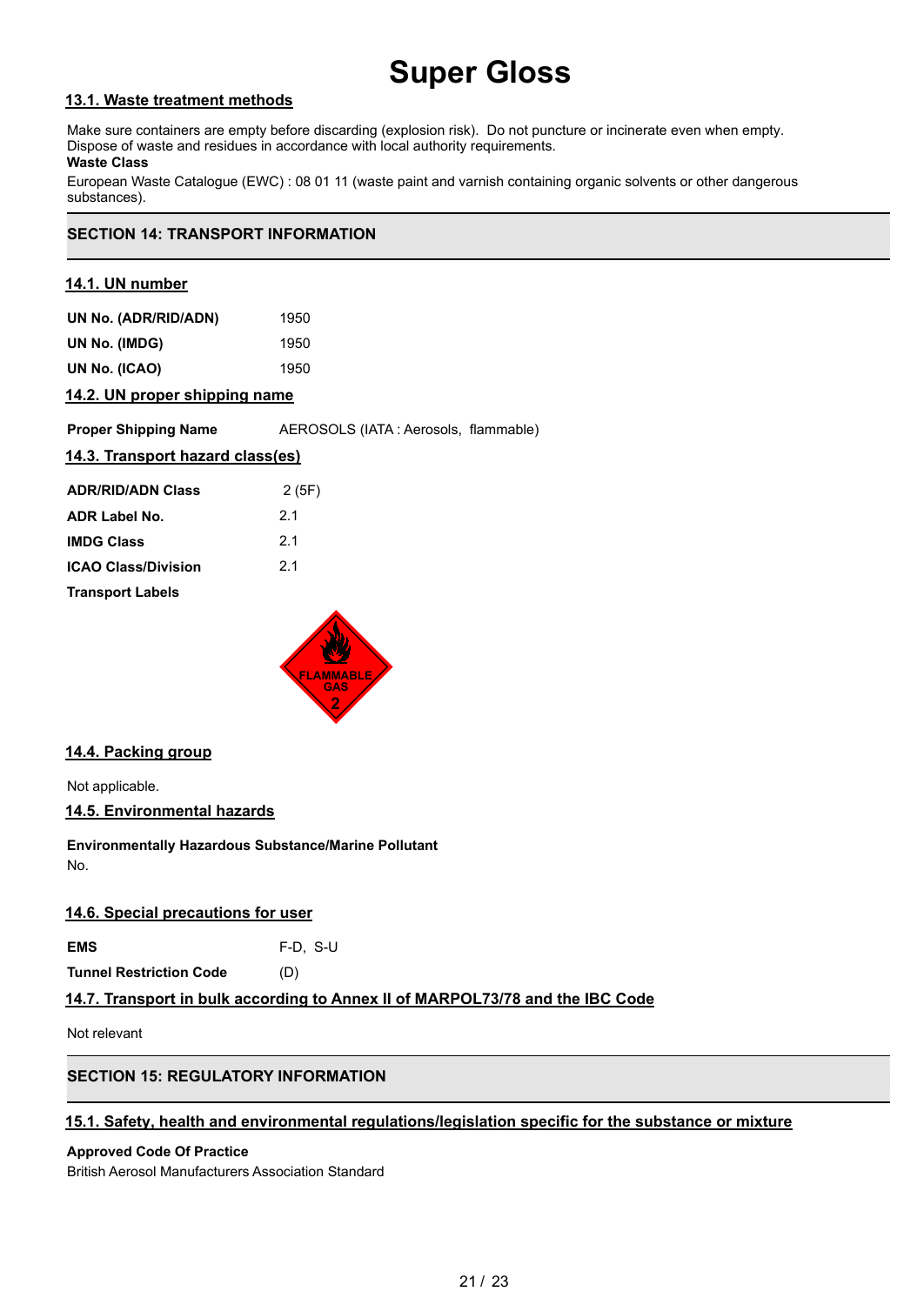#### **13.1. Waste treatment methods**

Make sure containers are empty before discarding (explosion risk). Do not puncture or incinerate even when empty. Dispose of waste and residues in accordance with local authority requirements.

#### **Waste Class**

European Waste Catalogue (EWC) : 08 01 11 (waste paint and varnish containing organic solvents or other dangerous substances).

### **SECTION 14: TRANSPORT INFORMATION**

#### **14.1. UN number**

| UN No. (ADR/RID/ADN) | 1950 |
|----------------------|------|
| UN No. (IMDG)        | 1950 |
| UN No. (ICAO)        | 1950 |
|                      |      |

#### **14.2. UN proper shipping name**

**Proper Shipping Name AEROSOLS** (IATA : Aerosols, flammable)

#### **14.3. Transport hazard class(es)**

| <b>ADR/RID/ADN Class</b>   | 2(5F) |
|----------------------------|-------|
| <b>ADR Label No.</b>       | 21    |
| <b>IMDG Class</b>          | 21    |
| <b>ICAO Class/Division</b> | 21    |
| <b>Transport Labels</b>    |       |



#### **14.4. Packing group**

Not applicable.

**14.5. Environmental hazards**

**Environmentally Hazardous Substance/Marine Pollutant** No.

#### **14.6. Special precautions for user**

**EMS** F-D, S-U

**Tunnel Restriction Code** (D)

#### **14.7. Transport in bulk according to Annex II of MARPOL73/78 and the IBC Code**

Not relevant

### **SECTION 15: REGULATORY INFORMATION**

#### **15.1. Safety, health and environmental regulations/legislation specific for the substance or mixture**

#### **Approved Code Of Practice**

British Aerosol Manufacturers Association Standard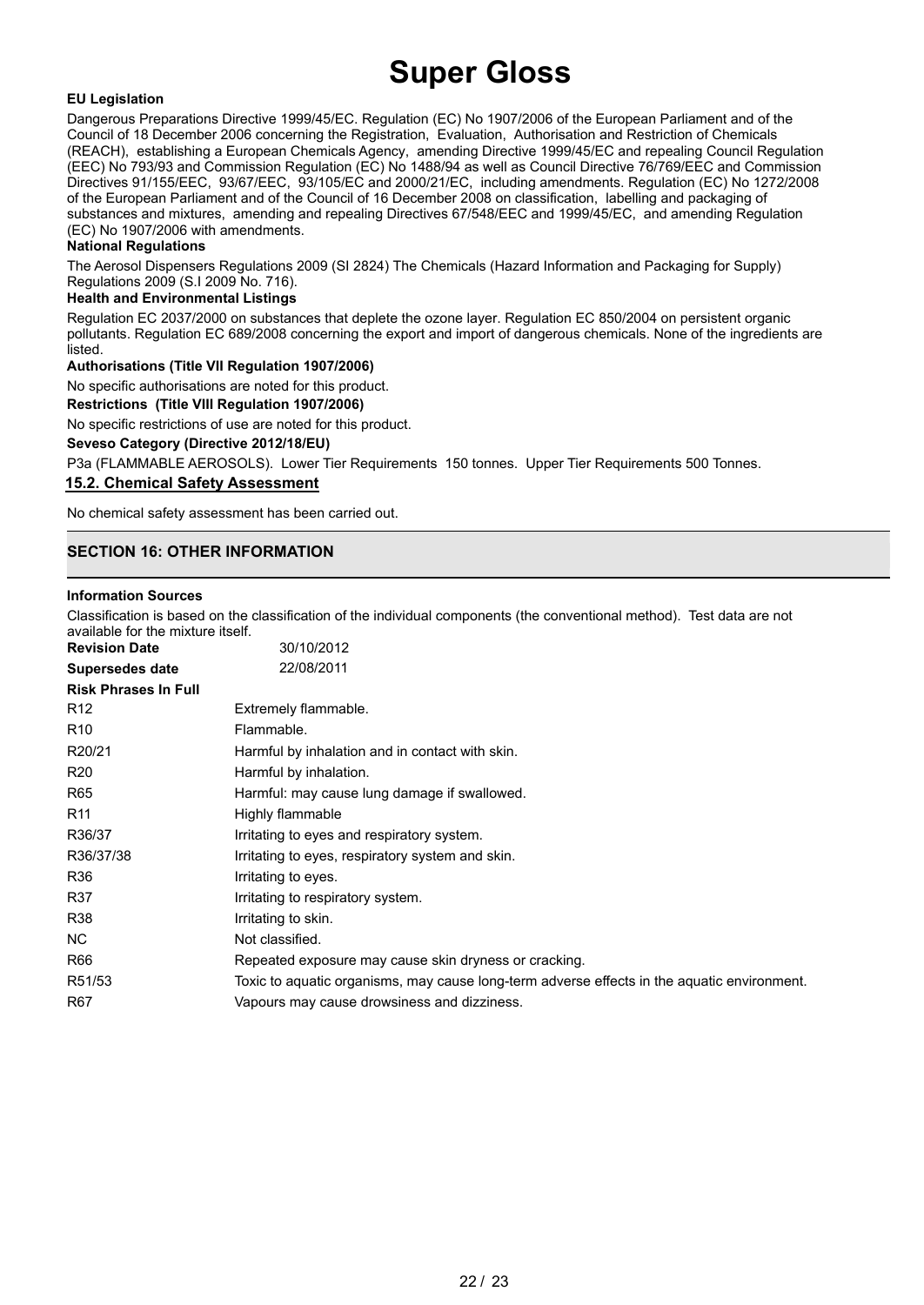#### **EU Legislation**

Dangerous Preparations Directive 1999/45/EC. Regulation (EC) No 1907/2006 of the European Parliament and of the Council of 18 December 2006 concerning the Registration, Evaluation, Authorisation and Restriction of Chemicals (REACH), establishing a European Chemicals Agency, amending Directive 1999/45/EC and repealing Council Regulation (EEC) No 793/93 and Commission Regulation (EC) No 1488/94 as well as Council Directive 76/769/EEC and Commission Directives 91/155/EEC, 93/67/EEC, 93/105/EC and 2000/21/EC, including amendments. Regulation (EC) No 1272/2008 of the European Parliament and of the Council of 16 December 2008 on classification, labelling and packaging of substances and mixtures, amending and repealing Directives 67/548/EEC and 1999/45/EC, and amending Regulation (EC) No 1907/2006 with amendments.

#### **National Regulations**

The Aerosol Dispensers Regulations 2009 (SI 2824) The Chemicals (Hazard Information and Packaging for Supply) Regulations 2009 (S.I 2009 No. 716).

#### **Health and Environmental Listings**

Regulation EC 2037/2000 on substances that deplete the ozone layer. Regulation EC 850/2004 on persistent organic pollutants. Regulation EC 689/2008 concerning the export and import of dangerous chemicals. None of the ingredients are listed.

#### **Authorisations (Title VII Regulation 1907/2006)**

No specific authorisations are noted for this product.

**Restrictions (Title VIII Regulation 1907/2006)**

No specific restrictions of use are noted for this product.

**Seveso Category (Directive 2012/18/EU)**

P3a (FLAMMABLE AEROSOLS). Lower Tier Requirements 150 tonnes. Upper Tier Requirements 500 Tonnes.

#### **15.2. Chemical Safety Assessment**

No chemical safety assessment has been carried out.

### **SECTION 16: OTHER INFORMATION**

#### **Information Sources**

Classification is based on the classification of the individual components (the conventional method). Test data are not available for the mixture itself.

| <b>Revision Date</b>        | 30/10/2012                                                                                  |
|-----------------------------|---------------------------------------------------------------------------------------------|
| <b>Supersedes date</b>      | 22/08/2011                                                                                  |
| <b>Risk Phrases In Full</b> |                                                                                             |
| R <sub>12</sub>             | Extremely flammable.                                                                        |
| R <sub>10</sub>             | Flammable.                                                                                  |
| R20/21                      | Harmful by inhalation and in contact with skin.                                             |
| R20                         | Harmful by inhalation.                                                                      |
| R65                         | Harmful: may cause lung damage if swallowed.                                                |
| R <sub>11</sub>             | Highly flammable                                                                            |
| R36/37                      | Irritating to eyes and respiratory system.                                                  |
| R36/37/38                   | Irritating to eyes, respiratory system and skin.                                            |
| R36                         | Irritating to eyes.                                                                         |
| R37                         | Irritating to respiratory system.                                                           |
| R38                         | Irritating to skin.                                                                         |
| NC.                         | Not classified.                                                                             |
| R66                         | Repeated exposure may cause skin dryness or cracking.                                       |
| R51/53                      | Toxic to aquatic organisms, may cause long-term adverse effects in the aquatic environment. |
| R67                         | Vapours may cause drowsiness and dizziness.                                                 |